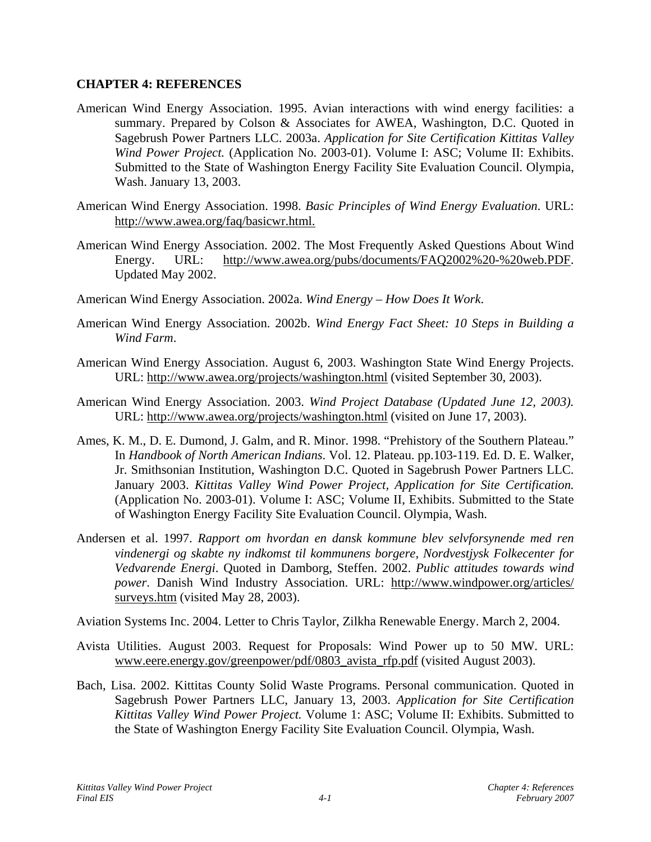## **CHAPTER 4: REFERENCES**

- American Wind Energy Association. 1995. Avian interactions with wind energy facilities: a summary. Prepared by Colson & Associates for AWEA, Washington, D.C. Quoted in Sagebrush Power Partners LLC. 2003a. *Application for Site Certification Kittitas Valley Wind Power Project.* (Application No. 2003-01). Volume I: ASC; Volume II: Exhibits. Submitted to the State of Washington Energy Facility Site Evaluation Council. Olympia, Wash. January 13, 2003.
- American Wind Energy Association. 1998. *Basic Principles of Wind Energy Evaluation*. URL: http://www.awea.org/faq/basicwr.html.
- American Wind Energy Association. 2002. The Most Frequently Asked Questions About Wind Energy. URL: http://www.awea.org/pubs/documents/FAQ2002%20-%20web.PDF. Updated May 2002.
- American Wind Energy Association. 2002a. *Wind Energy How Does It Work*.
- American Wind Energy Association. 2002b. *Wind Energy Fact Sheet: 10 Steps in Building a Wind Farm*.
- American Wind Energy Association. August 6, 2003. Washington State Wind Energy Projects. URL: http://www.awea.org/projects/washington.html (visited September 30, 2003).
- American Wind Energy Association. 2003. *Wind Project Database (Updated June 12, 2003).* URL: http://www.awea.org/projects/washington.html (visited on June 17, 2003).
- Ames, K. M., D. E. Dumond, J. Galm, and R. Minor. 1998. "Prehistory of the Southern Plateau." In *Handbook of North American Indians*. Vol. 12. Plateau. pp.103-119. Ed. D. E. Walker, Jr. Smithsonian Institution, Washington D.C. Quoted in Sagebrush Power Partners LLC. January 2003. *Kittitas Valley Wind Power Project, Application for Site Certification.* (Application No. 2003-01). Volume I: ASC; Volume II, Exhibits. Submitted to the State of Washington Energy Facility Site Evaluation Council. Olympia, Wash.
- Andersen et al. 1997. *Rapport om hvordan en dansk kommune blev selvforsynende med ren vindenergi og skabte ny indkomst til kommunens borgere, Nordvestjysk Folkecenter for Vedvarende Energi*. Quoted in Damborg, Steffen. 2002. *Public attitudes towards wind power*. Danish Wind Industry Association. URL: http://www.windpower.org/articles/ surveys.htm (visited May 28, 2003).

Aviation Systems Inc. 2004. Letter to Chris Taylor, Zilkha Renewable Energy. March 2, 2004.

- Avista Utilities. August 2003. Request for Proposals: Wind Power up to 50 MW. URL: www.eere.energy.gov/greenpower/pdf/0803\_avista\_rfp.pdf (visited August 2003).
- Bach, Lisa. 2002. Kittitas County Solid Waste Programs. Personal communication. Quoted in Sagebrush Power Partners LLC, January 13, 2003. *Application for Site Certification Kittitas Valley Wind Power Project.* Volume 1: ASC; Volume II: Exhibits. Submitted to the State of Washington Energy Facility Site Evaluation Council. Olympia, Wash.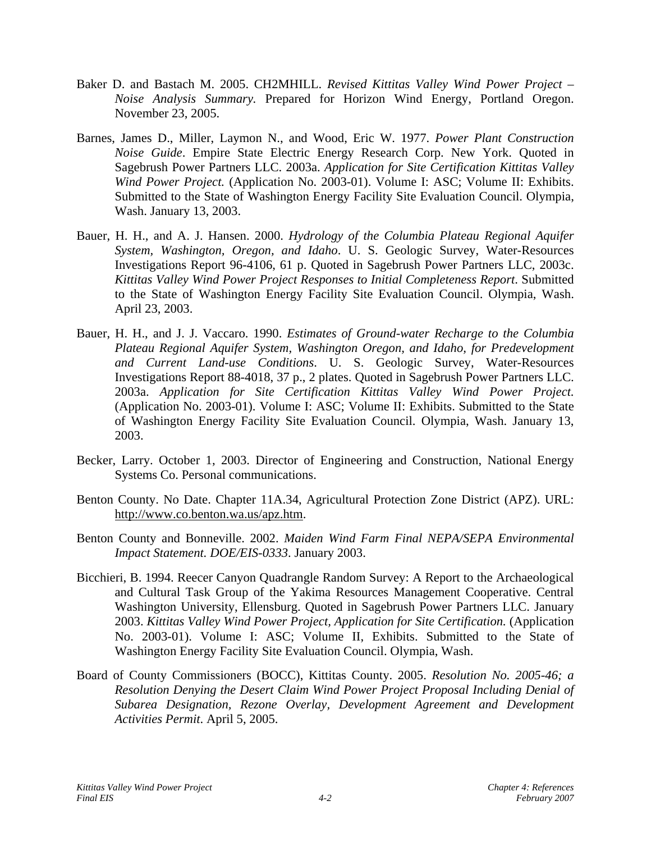- Baker D. and Bastach M. 2005. CH2MHILL. *Revised Kittitas Valley Wind Power Project Noise Analysis Summary.* Prepared for Horizon Wind Energy, Portland Oregon. November 23, 2005.
- Barnes, James D., Miller, Laymon N., and Wood, Eric W. 1977. *Power Plant Construction Noise Guide*. Empire State Electric Energy Research Corp. New York. Quoted in Sagebrush Power Partners LLC. 2003a. *Application for Site Certification Kittitas Valley Wind Power Project.* (Application No. 2003-01). Volume I: ASC; Volume II: Exhibits. Submitted to the State of Washington Energy Facility Site Evaluation Council. Olympia, Wash. January 13, 2003.
- Bauer, H. H., and A. J. Hansen. 2000. *Hydrology of the Columbia Plateau Regional Aquifer System, Washington, Oregon, and Idaho*. U. S. Geologic Survey, Water-Resources Investigations Report 96-4106, 61 p. Quoted in Sagebrush Power Partners LLC, 2003c. *Kittitas Valley Wind Power Project Responses to Initial Completeness Report*. Submitted to the State of Washington Energy Facility Site Evaluation Council. Olympia, Wash. April 23, 2003.
- Bauer, H. H., and J. J. Vaccaro. 1990. *Estimates of Ground-water Recharge to the Columbia Plateau Regional Aquifer System, Washington Oregon, and Idaho, for Predevelopment and Current Land-use Conditions*. U. S. Geologic Survey, Water-Resources Investigations Report 88-4018, 37 p., 2 plates. Quoted in Sagebrush Power Partners LLC. 2003a. *Application for Site Certification Kittitas Valley Wind Power Project.*  (Application No. 2003-01). Volume I: ASC; Volume II: Exhibits. Submitted to the State of Washington Energy Facility Site Evaluation Council. Olympia, Wash. January 13, 2003.
- Becker, Larry. October 1, 2003. Director of Engineering and Construction, National Energy Systems Co. Personal communications.
- Benton County. No Date. Chapter 11A.34, Agricultural Protection Zone District (APZ). URL: <http://www.co.benton.wa.us/apz.htm>.
- Benton County and Bonneville. 2002. *Maiden Wind Farm Final NEPA/SEPA Environmental Impact Statement. DOE/EIS-0333*. January 2003.
- Bicchieri, B. 1994. Reecer Canyon Quadrangle Random Survey: A Report to the Archaeological and Cultural Task Group of the Yakima Resources Management Cooperative. Central Washington University, Ellensburg. Quoted in Sagebrush Power Partners LLC. January 2003. *Kittitas Valley Wind Power Project, Application for Site Certification.* (Application No. 2003-01). Volume I: ASC; Volume II, Exhibits. Submitted to the State of Washington Energy Facility Site Evaluation Council. Olympia, Wash.
- Board of County Commissioners (BOCC), Kittitas County. 2005. *Resolution No. 2005-46; a Resolution Denying the Desert Claim Wind Power Project Proposal Including Denial of Subarea Designation, Rezone Overlay, Development Agreement and Development Activities Permit*. April 5, 2005.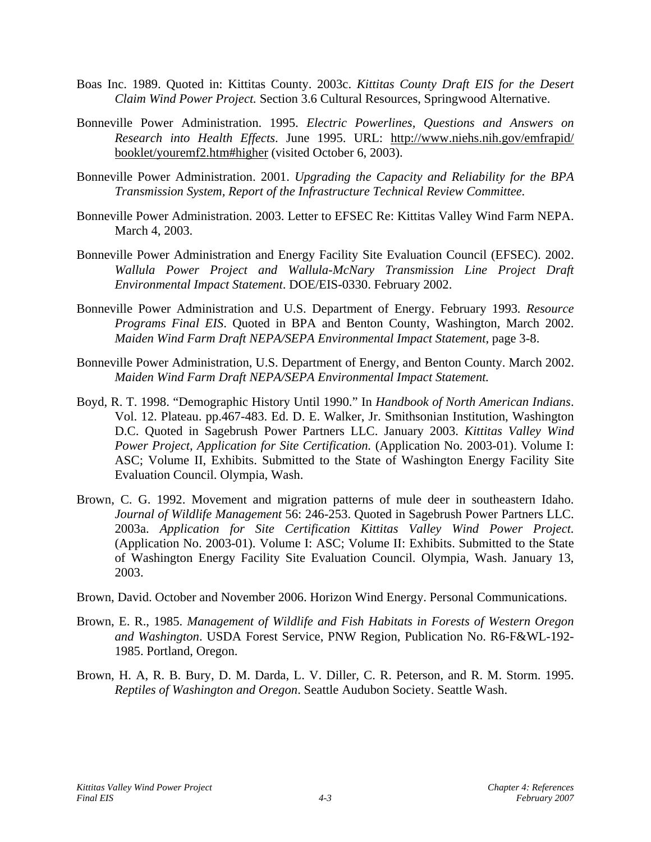- Boas Inc. 1989. Quoted in: Kittitas County. 2003c. *Kittitas County Draft EIS for the Desert Claim Wind Power Project.* Section 3.6 Cultural Resources, Springwood Alternative.
- Bonneville Power Administration. 1995. *Electric Powerlines, Questions and Answers on Research into Health Effects*. June 1995. URL: http://www.niehs.nih.gov/emfrapid/ booklet/youremf2.htm#higher (visited October 6, 2003).
- Bonneville Power Administration. 2001. *Upgrading the Capacity and Reliability for the BPA Transmission System, Report of the Infrastructure Technical Review Committee.*
- Bonneville Power Administration. 2003. Letter to EFSEC Re: Kittitas Valley Wind Farm NEPA. March 4, 2003.
- Bonneville Power Administration and Energy Facility Site Evaluation Council (EFSEC). 2002. *Wallula Power Project and Wallula-McNary Transmission Line Project Draft Environmental Impact Statement*. DOE/EIS-0330. February 2002.
- Bonneville Power Administration and U.S. Department of Energy. February 1993*. Resource Programs Final EIS*. Quoted in BPA and Benton County, Washington, March 2002. *Maiden Wind Farm Draft NEPA/SEPA Environmental Impact Statement*, page 3-8.
- Bonneville Power Administration, U.S. Department of Energy, and Benton County. March 2002. *Maiden Wind Farm Draft NEPA/SEPA Environmental Impact Statement.*
- Boyd, R. T. 1998. "Demographic History Until 1990." In *Handbook of North American Indians*. Vol. 12. Plateau. pp.467-483. Ed. D. E. Walker, Jr. Smithsonian Institution, Washington D.C. Quoted in Sagebrush Power Partners LLC. January 2003. *Kittitas Valley Wind Power Project, Application for Site Certification.* (Application No. 2003-01). Volume I: ASC; Volume II, Exhibits. Submitted to the State of Washington Energy Facility Site Evaluation Council. Olympia, Wash.
- Brown, C. G. 1992. Movement and migration patterns of mule deer in southeastern Idaho. *Journal of Wildlife Management* 56: 246-253. Quoted in Sagebrush Power Partners LLC. 2003a. *Application for Site Certification Kittitas Valley Wind Power Project.*  (Application No. 2003-01). Volume I: ASC; Volume II: Exhibits. Submitted to the State of Washington Energy Facility Site Evaluation Council. Olympia, Wash. January 13, 2003.
- Brown, David. October and November 2006. Horizon Wind Energy. Personal Communications.
- Brown, E. R., 1985. *Management of Wildlife and Fish Habitats in Forests of Western Oregon and Washington*. USDA Forest Service, PNW Region, Publication No. R6-F&WL-192- 1985. Portland, Oregon.
- Brown, H. A, R. B. Bury, D. M. Darda, L. V. Diller, C. R. Peterson, and R. M. Storm. 1995. *Reptiles of Washington and Oregon*. Seattle Audubon Society. Seattle Wash.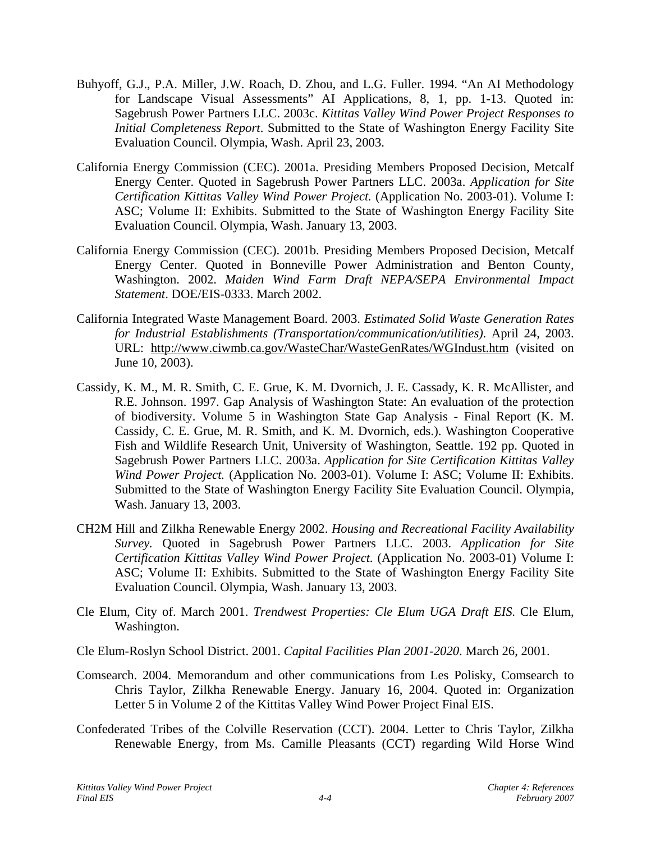- Buhyoff, G.J., P.A. Miller, J.W. Roach, D. Zhou, and L.G. Fuller. 1994. "An AI Methodology for Landscape Visual Assessments" AI Applications, 8, 1, pp. 1-13. Quoted in: Sagebrush Power Partners LLC. 2003c. *Kittitas Valley Wind Power Project Responses to Initial Completeness Report*. Submitted to the State of Washington Energy Facility Site Evaluation Council. Olympia, Wash. April 23, 2003.
- California Energy Commission (CEC). 2001a. Presiding Members Proposed Decision, Metcalf Energy Center. Quoted in Sagebrush Power Partners LLC. 2003a. *Application for Site Certification Kittitas Valley Wind Power Project.* (Application No. 2003-01). Volume I: ASC; Volume II: Exhibits. Submitted to the State of Washington Energy Facility Site Evaluation Council. Olympia, Wash. January 13, 2003.
- California Energy Commission (CEC). 2001b. Presiding Members Proposed Decision, Metcalf Energy Center. Quoted in Bonneville Power Administration and Benton County, Washington. 2002. *Maiden Wind Farm Draft NEPA/SEPA Environmental Impact Statement*. DOE/EIS-0333. March 2002.
- California Integrated Waste Management Board. 2003. *Estimated Solid Waste Generation Rates for Industrial Establishments (Transportation/communication/utilities)*. April 24, 2003. URL: http://www.ciwmb.ca.gov/WasteChar/WasteGenRates/WGIndust.htm (visited on June 10, 2003).
- Cassidy, K. M., M. R. Smith, C. E. Grue, K. M. Dvornich, J. E. Cassady, K. R. McAllister, and R.E. Johnson. 1997. Gap Analysis of Washington State: An evaluation of the protection of biodiversity. Volume 5 in Washington State Gap Analysis - Final Report (K. M. Cassidy, C. E. Grue, M. R. Smith, and K. M. Dvornich, eds.). Washington Cooperative Fish and Wildlife Research Unit, University of Washington, Seattle. 192 pp. Quoted in Sagebrush Power Partners LLC. 2003a. *Application for Site Certification Kittitas Valley Wind Power Project.* (Application No. 2003-01). Volume I: ASC; Volume II: Exhibits. Submitted to the State of Washington Energy Facility Site Evaluation Council. Olympia, Wash. January 13, 2003.
- CH2M Hill and Zilkha Renewable Energy 2002. *Housing and Recreational Facility Availability Survey.* Quoted in Sagebrush Power Partners LLC. 2003. *Application for Site Certification Kittitas Valley Wind Power Project.* (Application No. 2003-01) Volume I: ASC; Volume II: Exhibits. Submitted to the State of Washington Energy Facility Site Evaluation Council. Olympia, Wash. January 13, 2003.
- Cle Elum, City of. March 2001. *Trendwest Properties: Cle Elum UGA Draft EIS*. Cle Elum, Washington.

Cle Elum-Roslyn School District. 2001. *Capital Facilities Plan 2001-2020*. March 26, 2001.

- Comsearch. 2004. Memorandum and other communications from Les Polisky, Comsearch to Chris Taylor, Zilkha Renewable Energy. January 16, 2004. Quoted in: Organization Letter 5 in Volume 2 of the Kittitas Valley Wind Power Project Final EIS.
- Confederated Tribes of the Colville Reservation (CCT). 2004. Letter to Chris Taylor, Zilkha Renewable Energy, from Ms. Camille Pleasants (CCT) regarding Wild Horse Wind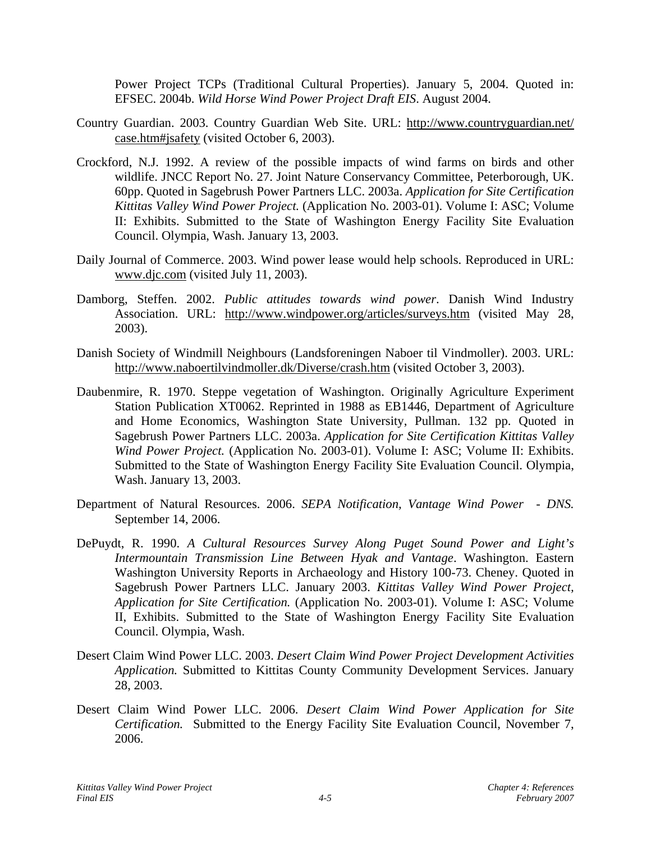Power Project TCPs (Traditional Cultural Properties). January 5, 2004. Quoted in: EFSEC. 2004b. *Wild Horse Wind Power Project Draft EIS*. August 2004.

- Country Guardian. 2003. Country Guardian Web Site. URL: http://www.countryguardian.net/ case.htm#jsafety (visited October 6, 2003).
- Crockford, N.J. 1992. A review of the possible impacts of wind farms on birds and other wildlife. JNCC Report No. 27. Joint Nature Conservancy Committee, Peterborough, UK. 60pp. Quoted in Sagebrush Power Partners LLC. 2003a. *Application for Site Certification Kittitas Valley Wind Power Project.* (Application No. 2003-01). Volume I: ASC; Volume II: Exhibits. Submitted to the State of Washington Energy Facility Site Evaluation Council. Olympia, Wash. January 13, 2003.
- Daily Journal of Commerce. 2003. Wind power lease would help schools. Reproduced in URL: www.djc.com (visited July 11, 2003).
- Damborg, Steffen. 2002. *Public attitudes towards wind power*. Danish Wind Industry Association. URL: http://www.windpower.org/articles/surveys.htm (visited May 28, 2003).
- Danish Society of Windmill Neighbours (Landsforeningen Naboer til Vindmoller). 2003. URL: http://www.naboertilvindmoller.dk/Diverse/crash.htm (visited October 3, 2003).
- Daubenmire, R. 1970. Steppe vegetation of Washington. Originally Agriculture Experiment Station Publication XT0062. Reprinted in 1988 as EB1446, Department of Agriculture and Home Economics, Washington State University, Pullman. 132 pp. Quoted in Sagebrush Power Partners LLC. 2003a. *Application for Site Certification Kittitas Valley Wind Power Project.* (Application No. 2003-01). Volume I: ASC; Volume II: Exhibits. Submitted to the State of Washington Energy Facility Site Evaluation Council. Olympia, Wash. January 13, 2003.
- Department of Natural Resources. 2006. *SEPA Notification, Vantage Wind Power DNS.*  September 14, 2006.
- DePuydt, R. 1990. *A Cultural Resources Survey Along Puget Sound Power and Light's Intermountain Transmission Line Between Hyak and Vantage*. Washington. Eastern Washington University Reports in Archaeology and History 100-73. Cheney. Quoted in Sagebrush Power Partners LLC. January 2003. *Kittitas Valley Wind Power Project, Application for Site Certification.* (Application No. 2003-01). Volume I: ASC; Volume II, Exhibits. Submitted to the State of Washington Energy Facility Site Evaluation Council. Olympia, Wash.
- Desert Claim Wind Power LLC. 2003. *Desert Claim Wind Power Project Development Activities Application.* Submitted to Kittitas County Community Development Services. January 28, 2003.
- Desert Claim Wind Power LLC. 2006. *Desert Claim Wind Power Application for Site Certification.* Submitted to the Energy Facility Site Evaluation Council, November 7, 2006.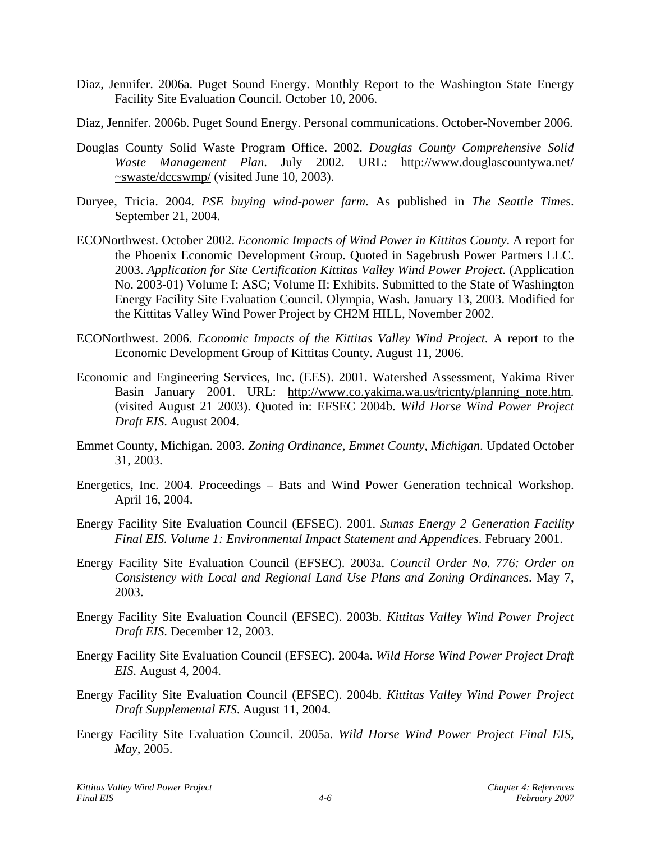- Diaz, Jennifer. 2006a. Puget Sound Energy. Monthly Report to the Washington State Energy Facility Site Evaluation Council. October 10, 2006.
- Diaz, Jennifer. 2006b. Puget Sound Energy. Personal communications. October-November 2006.
- Douglas County Solid Waste Program Office. 2002. *Douglas County Comprehensive Solid Waste Management Plan*. July 2002. URL: http://www.douglascountywa.net/ ~swaste/dccswmp/ (visited June 10, 2003).
- Duryee, Tricia. 2004. *PSE buying wind-power farm*. As published in *The Seattle Times*. September 21, 2004.
- ECONorthwest. October 2002. *Economic Impacts of Wind Power in Kittitas County*. A report for the Phoenix Economic Development Group. Quoted in Sagebrush Power Partners LLC. 2003. *Application for Site Certification Kittitas Valley Wind Power Project.* (Application No. 2003-01) Volume I: ASC; Volume II: Exhibits. Submitted to the State of Washington Energy Facility Site Evaluation Council. Olympia, Wash. January 13, 2003. Modified for the Kittitas Valley Wind Power Project by CH2M HILL, November 2002.
- ECONorthwest. 2006. *Economic Impacts of the Kittitas Valley Wind Project.* A report to the Economic Development Group of Kittitas County. August 11, 2006.
- Economic and Engineering Services, Inc. (EES). 2001. Watershed Assessment, Yakima River Basin January 2001. URL: http://www.co.yakima.wa.us/tricnty/planning\_note.htm. (visited August 21 2003). Quoted in: EFSEC 2004b. *Wild Horse Wind Power Project Draft EIS*. August 2004.
- Emmet County, Michigan. 2003. *Zoning Ordinance, Emmet County, Michigan*. Updated October 31, 2003.
- Energetics, Inc. 2004. Proceedings Bats and Wind Power Generation technical Workshop. April 16, 2004.
- Energy Facility Site Evaluation Council (EFSEC). 2001. *Sumas Energy 2 Generation Facility Final EIS. Volume 1: Environmental Impact Statement and Appendices*. February 2001.
- Energy Facility Site Evaluation Council (EFSEC). 2003a. *Council Order No. 776: Order on Consistency with Local and Regional Land Use Plans and Zoning Ordinances*. May 7, 2003.
- Energy Facility Site Evaluation Council (EFSEC). 2003b. *Kittitas Valley Wind Power Project Draft EIS*. December 12, 2003.
- Energy Facility Site Evaluation Council (EFSEC). 2004a. *Wild Horse Wind Power Project Draft EIS*. August 4, 2004.
- Energy Facility Site Evaluation Council (EFSEC). 2004b. *Kittitas Valley Wind Power Project Draft Supplemental EIS*. August 11, 2004.
- Energy Facility Site Evaluation Council. 2005a. *Wild Horse Wind Power Project Final EIS, May*, 2005.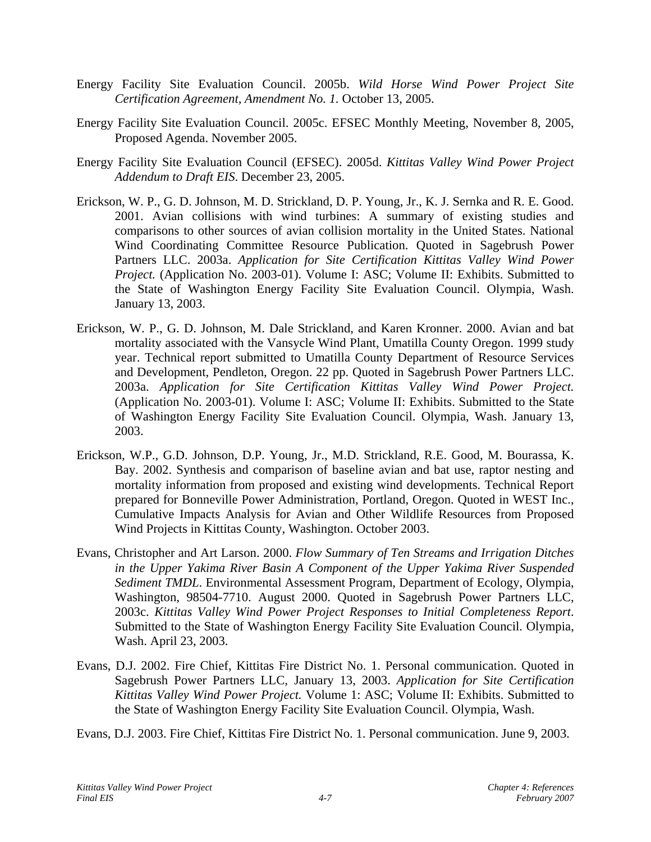- Energy Facility Site Evaluation Council. 2005b. *Wild Horse Wind Power Project Site Certification Agreement, Amendment No. 1.* October 13, 2005.
- Energy Facility Site Evaluation Council. 2005c. EFSEC Monthly Meeting, November 8, 2005, Proposed Agenda. November 2005.
- Energy Facility Site Evaluation Council (EFSEC). 2005d. *Kittitas Valley Wind Power Project Addendum to Draft EIS*. December 23, 2005.
- Erickson, W. P., G. D. Johnson, M. D. Strickland, D. P. Young, Jr., K. J. Sernka and R. E. Good. 2001. Avian collisions with wind turbines: A summary of existing studies and comparisons to other sources of avian collision mortality in the United States. National Wind Coordinating Committee Resource Publication. Quoted in Sagebrush Power Partners LLC. 2003a. *Application for Site Certification Kittitas Valley Wind Power Project.* (Application No. 2003-01). Volume I: ASC; Volume II: Exhibits. Submitted to the State of Washington Energy Facility Site Evaluation Council. Olympia, Wash. January 13, 2003.
- Erickson, W. P., G. D. Johnson, M. Dale Strickland, and Karen Kronner. 2000. Avian and bat mortality associated with the Vansycle Wind Plant, Umatilla County Oregon. 1999 study year. Technical report submitted to Umatilla County Department of Resource Services and Development, Pendleton, Oregon. 22 pp. Quoted in Sagebrush Power Partners LLC. 2003a. *Application for Site Certification Kittitas Valley Wind Power Project.*  (Application No. 2003-01). Volume I: ASC; Volume II: Exhibits. Submitted to the State of Washington Energy Facility Site Evaluation Council. Olympia, Wash. January 13, 2003.
- Erickson, W.P., G.D. Johnson, D.P. Young, Jr., M.D. Strickland, R.E. Good, M. Bourassa, K. Bay. 2002. Synthesis and comparison of baseline avian and bat use, raptor nesting and mortality information from proposed and existing wind developments. Technical Report prepared for Bonneville Power Administration, Portland, Oregon. Quoted in WEST Inc., Cumulative Impacts Analysis for Avian and Other Wildlife Resources from Proposed Wind Projects in Kittitas County, Washington. October 2003.
- Evans, Christopher and Art Larson. 2000. *Flow Summary of Ten Streams and Irrigation Ditches in the Upper Yakima River Basin A Component of the Upper Yakima River Suspended Sediment TMDL*. Environmental Assessment Program, Department of Ecology, Olympia, Washington, 98504-7710. August 2000. Quoted in Sagebrush Power Partners LLC, 2003c. *Kittitas Valley Wind Power Project Responses to Initial Completeness Report*. Submitted to the State of Washington Energy Facility Site Evaluation Council. Olympia, Wash. April 23, 2003.
- Evans, D.J. 2002. Fire Chief, Kittitas Fire District No. 1. Personal communication. Quoted in Sagebrush Power Partners LLC, January 13, 2003. *Application for Site Certification Kittitas Valley Wind Power Project.* Volume 1: ASC; Volume II: Exhibits. Submitted to the State of Washington Energy Facility Site Evaluation Council. Olympia, Wash.

Evans, D.J. 2003. Fire Chief, Kittitas Fire District No. 1. Personal communication. June 9, 2003.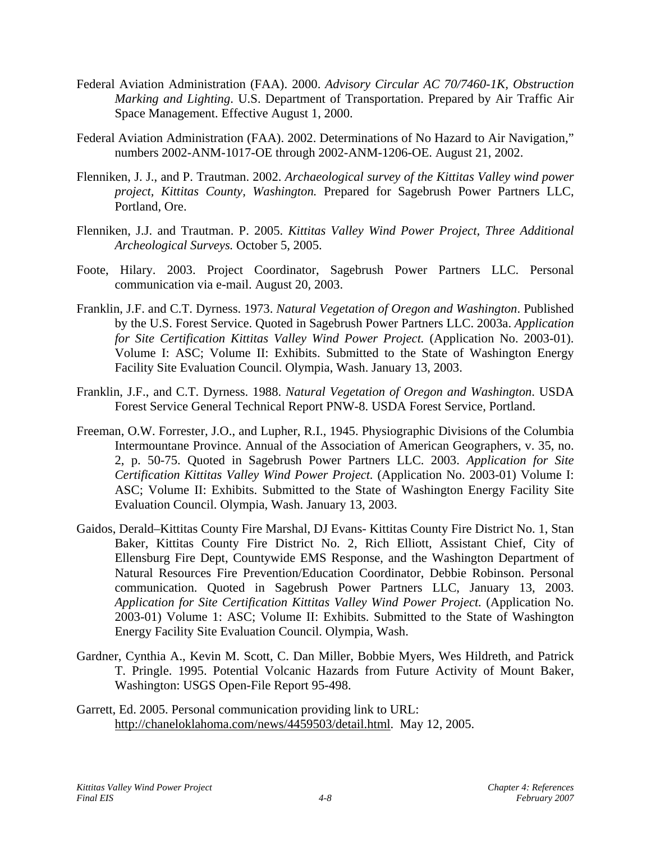- Federal Aviation Administration (FAA). 2000. *Advisory Circular AC 70/7460-1K, Obstruction Marking and Lighting*. U.S. Department of Transportation. Prepared by Air Traffic Air Space Management. Effective August 1, 2000.
- Federal Aviation Administration (FAA). 2002. Determinations of No Hazard to Air Navigation," numbers 2002-ANM-1017-OE through 2002-ANM-1206-OE. August 21, 2002.
- Flenniken, J. J., and P. Trautman. 2002. *Archaeological survey of the Kittitas Valley wind power project, Kittitas County, Washington.* Prepared for Sagebrush Power Partners LLC, Portland, Ore.
- Flenniken, J.J. and Trautman. P. 2005. *Kittitas Valley Wind Power Project, Three Additional Archeological Surveys.* October 5, 2005.
- Foote, Hilary. 2003. Project Coordinator, Sagebrush Power Partners LLC. Personal communication via e-mail. August 20, 2003.
- Franklin, J.F. and C.T. Dyrness. 1973. *Natural Vegetation of Oregon and Washington*. Published by the U.S. Forest Service. Quoted in Sagebrush Power Partners LLC. 2003a. *Application for Site Certification Kittitas Valley Wind Power Project.* (Application No. 2003-01). Volume I: ASC; Volume II: Exhibits. Submitted to the State of Washington Energy Facility Site Evaluation Council. Olympia, Wash. January 13, 2003.
- Franklin, J.F., and C.T. Dyrness. 1988. *Natural Vegetation of Oregon and Washington*. USDA Forest Service General Technical Report PNW-8. USDA Forest Service, Portland.
- Freeman, O.W. Forrester, J.O., and Lupher, R.I., 1945. Physiographic Divisions of the Columbia Intermountane Province. Annual of the Association of American Geographers, v. 35, no. 2, p. 50-75. Quoted in Sagebrush Power Partners LLC. 2003. *Application for Site Certification Kittitas Valley Wind Power Project.* (Application No. 2003-01) Volume I: ASC; Volume II: Exhibits. Submitted to the State of Washington Energy Facility Site Evaluation Council. Olympia, Wash. January 13, 2003.
- Gaidos, Derald–Kittitas County Fire Marshal, DJ Evans- Kittitas County Fire District No. 1, Stan Baker, Kittitas County Fire District No. 2, Rich Elliott, Assistant Chief, City of Ellensburg Fire Dept, Countywide EMS Response, and the Washington Department of Natural Resources Fire Prevention/Education Coordinator, Debbie Robinson. Personal communication. Quoted in Sagebrush Power Partners LLC, January 13, 2003. *Application for Site Certification Kittitas Valley Wind Power Project.* (Application No. 2003-01) Volume 1: ASC; Volume II: Exhibits. Submitted to the State of Washington Energy Facility Site Evaluation Council. Olympia, Wash.
- Gardner, Cynthia A., Kevin M. Scott, C. Dan Miller, Bobbie Myers, Wes Hildreth, and Patrick T. Pringle. 1995. Potential Volcanic Hazards from Future Activity of Mount Baker, Washington: USGS Open-File Report 95-498.
- Garrett, Ed. 2005. Personal communication providing link to URL: <http://chaneloklahoma.com/news/4459503/detail.html>. May 12, 2005.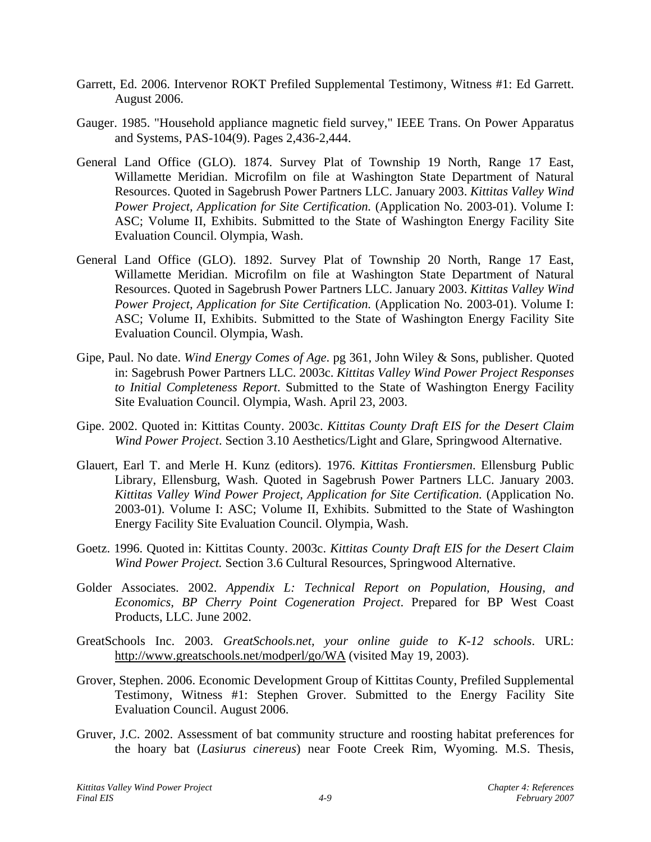- Garrett, Ed. 2006. Intervenor ROKT Prefiled Supplemental Testimony, Witness #1: Ed Garrett. August 2006.
- Gauger. 1985. "Household appliance magnetic field survey," IEEE Trans. On Power Apparatus and Systems, PAS-104(9). Pages 2,436-2,444.
- General Land Office (GLO). 1874. Survey Plat of Township 19 North, Range 17 East, Willamette Meridian. Microfilm on file at Washington State Department of Natural Resources. Quoted in Sagebrush Power Partners LLC. January 2003. *Kittitas Valley Wind Power Project, Application for Site Certification.* (Application No. 2003-01). Volume I: ASC; Volume II, Exhibits. Submitted to the State of Washington Energy Facility Site Evaluation Council. Olympia, Wash.
- General Land Office (GLO). 1892. Survey Plat of Township 20 North, Range 17 East, Willamette Meridian. Microfilm on file at Washington State Department of Natural Resources. Quoted in Sagebrush Power Partners LLC. January 2003. *Kittitas Valley Wind Power Project, Application for Site Certification.* (Application No. 2003-01). Volume I: ASC; Volume II, Exhibits. Submitted to the State of Washington Energy Facility Site Evaluation Council. Olympia, Wash.
- Gipe, Paul. No date. *Wind Energy Comes of Age*. pg 361, John Wiley & Sons, publisher. Quoted in: Sagebrush Power Partners LLC. 2003c. *Kittitas Valley Wind Power Project Responses to Initial Completeness Report*. Submitted to the State of Washington Energy Facility Site Evaluation Council. Olympia, Wash. April 23, 2003.
- Gipe. 2002. Quoted in: Kittitas County. 2003c. *Kittitas County Draft EIS for the Desert Claim Wind Power Project*. Section 3.10 Aesthetics/Light and Glare, Springwood Alternative.
- Glauert, Earl T. and Merle H. Kunz (editors). 1976. *Kittitas Frontiersmen*. Ellensburg Public Library, Ellensburg, Wash. Quoted in Sagebrush Power Partners LLC. January 2003. *Kittitas Valley Wind Power Project, Application for Site Certification.* (Application No. 2003-01). Volume I: ASC; Volume II, Exhibits. Submitted to the State of Washington Energy Facility Site Evaluation Council. Olympia, Wash.
- Goetz. 1996. Quoted in: Kittitas County. 2003c. *Kittitas County Draft EIS for the Desert Claim Wind Power Project.* Section 3.6 Cultural Resources, Springwood Alternative.
- Golder Associates. 2002. *Appendix L: Technical Report on Population, Housing, and Economics, BP Cherry Point Cogeneration Project*. Prepared for BP West Coast Products, LLC. June 2002.
- GreatSchools Inc. 2003. *GreatSchools.net, your online guide to K-12 schools*. URL: http://www.greatschools.net/modperl/go/WA (visited May 19, 2003).
- Grover, Stephen. 2006. Economic Development Group of Kittitas County, Prefiled Supplemental Testimony, Witness #1: Stephen Grover. Submitted to the Energy Facility Site Evaluation Council. August 2006.
- Gruver, J.C. 2002. Assessment of bat community structure and roosting habitat preferences for the hoary bat (*Lasiurus cinereus*) near Foote Creek Rim, Wyoming. M.S. Thesis,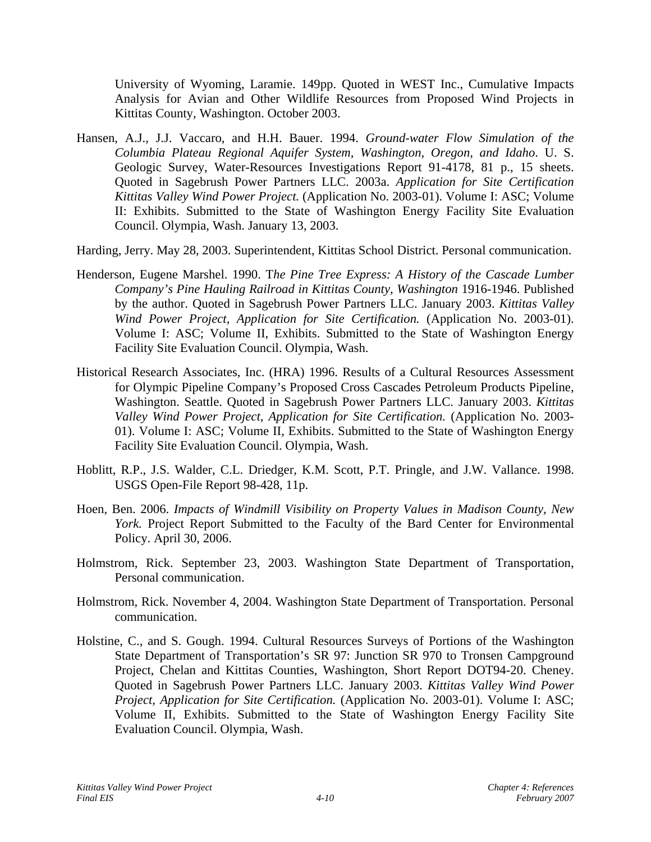University of Wyoming, Laramie. 149pp. Quoted in WEST Inc., Cumulative Impacts Analysis for Avian and Other Wildlife Resources from Proposed Wind Projects in Kittitas County, Washington. October 2003.

- Hansen, A.J., J.J. Vaccaro, and H.H. Bauer. 1994. *Ground-water Flow Simulation of the Columbia Plateau Regional Aquifer System, Washington, Oregon, and Idaho*. U. S. Geologic Survey, Water-Resources Investigations Report 91-4178, 81 p., 15 sheets. Quoted in Sagebrush Power Partners LLC. 2003a. *Application for Site Certification Kittitas Valley Wind Power Project.* (Application No. 2003-01). Volume I: ASC; Volume II: Exhibits. Submitted to the State of Washington Energy Facility Site Evaluation Council. Olympia, Wash. January 13, 2003.
- Harding, Jerry. May 28, 2003. Superintendent, Kittitas School District. Personal communication.
- Henderson, Eugene Marshel. 1990. T*he Pine Tree Express: A History of the Cascade Lumber Company's Pine Hauling Railroad in Kittitas County, Washington* 1916-1946. Published by the author. Quoted in Sagebrush Power Partners LLC. January 2003. *Kittitas Valley Wind Power Project, Application for Site Certification.* (Application No. 2003-01). Volume I: ASC; Volume II, Exhibits. Submitted to the State of Washington Energy Facility Site Evaluation Council. Olympia, Wash.
- Historical Research Associates, Inc. (HRA) 1996. Results of a Cultural Resources Assessment for Olympic Pipeline Company's Proposed Cross Cascades Petroleum Products Pipeline, Washington. Seattle. Quoted in Sagebrush Power Partners LLC. January 2003. *Kittitas Valley Wind Power Project, Application for Site Certification.* (Application No. 2003- 01). Volume I: ASC; Volume II, Exhibits. Submitted to the State of Washington Energy Facility Site Evaluation Council. Olympia, Wash.
- Hoblitt, R.P., J.S. Walder, C.L. Driedger, K.M. Scott, P.T. Pringle, and J.W. Vallance. 1998. USGS Open-File Report 98-428, 11p.
- Hoen, Ben. 2006. *Impacts of Windmill Visibility on Property Values in Madison County, New York.* Project Report Submitted to the Faculty of the Bard Center for Environmental Policy. April 30, 2006.
- Holmstrom, Rick. September 23, 2003. Washington State Department of Transportation, Personal communication.
- Holmstrom, Rick. November 4, 2004. Washington State Department of Transportation. Personal communication.
- Holstine, C., and S. Gough. 1994. Cultural Resources Surveys of Portions of the Washington State Department of Transportation's SR 97: Junction SR 970 to Tronsen Campground Project, Chelan and Kittitas Counties, Washington, Short Report DOT94-20. Cheney. Quoted in Sagebrush Power Partners LLC. January 2003. *Kittitas Valley Wind Power Project, Application for Site Certification.* (Application No. 2003-01). Volume I: ASC; Volume II, Exhibits. Submitted to the State of Washington Energy Facility Site Evaluation Council. Olympia, Wash.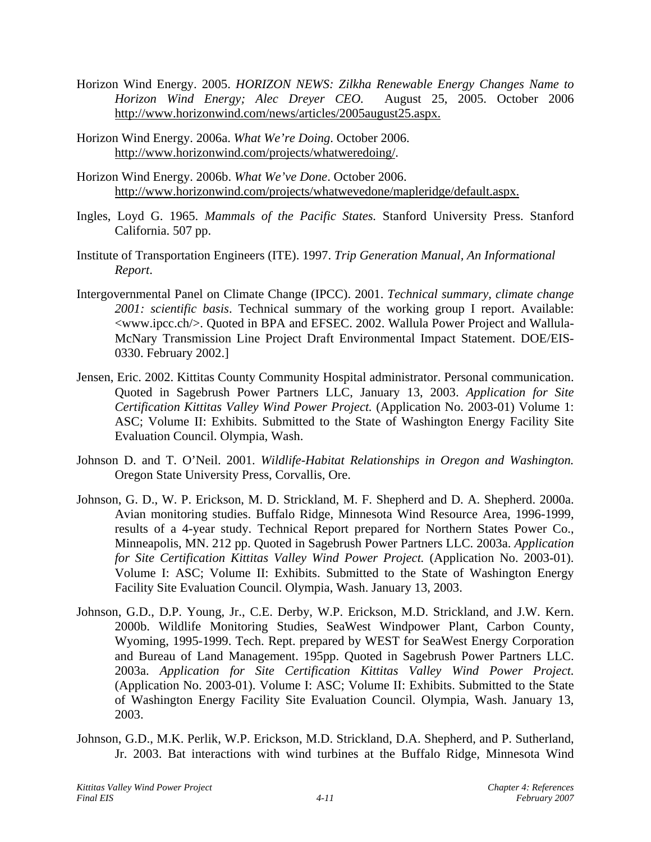- Horizon Wind Energy. 2005. *HORIZON NEWS: Zilkha Renewable Energy Changes Name to Horizon Wind Energy; Alec Dreyer CEO.* August 25, 2005. October 2006 http://www.horizonwind.com/news/articles/2005august25.aspx.
- Horizon Wind Energy. 2006a. *What We're Doing*. October 2006. [http://www.horizonwind.com/projects/whatweredoing/.](http://www.horizonwind.com/projects/whatweredoing/)
- Horizon Wind Energy. 2006b. *What We've Done*. October 2006. http://www.horizonwind.com/projects/whatwevedone/mapleridge/default.aspx.
- Ingles, Loyd G. 1965. *Mammals of the Pacific States.* Stanford University Press. Stanford California. 507 pp.
- Institute of Transportation Engineers (ITE). 1997. *Trip Generation Manual, An Informational Report*.
- Intergovernmental Panel on Climate Change (IPCC). 2001. *Technical summary, climate change 2001: scientific basis*. Technical summary of the working group I report. Available: <www.ipcc.ch/>. Quoted in BPA and EFSEC. 2002. Wallula Power Project and Wallula-McNary Transmission Line Project Draft Environmental Impact Statement. DOE/EIS-0330. February 2002.]
- Jensen, Eric. 2002. Kittitas County Community Hospital administrator. Personal communication. Quoted in Sagebrush Power Partners LLC, January 13, 2003. *Application for Site Certification Kittitas Valley Wind Power Project.* (Application No. 2003-01) Volume 1: ASC; Volume II: Exhibits. Submitted to the State of Washington Energy Facility Site Evaluation Council. Olympia, Wash.
- Johnson D. and T. O'Neil. 2001. *Wildlife-Habitat Relationships in Oregon and Washington.* Oregon State University Press, Corvallis, Ore.
- Johnson, G. D., W. P. Erickson, M. D. Strickland, M. F. Shepherd and D. A. Shepherd. 2000a. Avian monitoring studies. Buffalo Ridge, Minnesota Wind Resource Area, 1996-1999, results of a 4-year study. Technical Report prepared for Northern States Power Co., Minneapolis, MN. 212 pp. Quoted in Sagebrush Power Partners LLC. 2003a. *Application for Site Certification Kittitas Valley Wind Power Project.* (Application No. 2003-01). Volume I: ASC; Volume II: Exhibits. Submitted to the State of Washington Energy Facility Site Evaluation Council. Olympia, Wash. January 13, 2003.
- Johnson, G.D., D.P. Young, Jr., C.E. Derby, W.P. Erickson, M.D. Strickland, and J.W. Kern. 2000b. Wildlife Monitoring Studies, SeaWest Windpower Plant, Carbon County, Wyoming, 1995-1999. Tech. Rept. prepared by WEST for SeaWest Energy Corporation and Bureau of Land Management. 195pp. Quoted in Sagebrush Power Partners LLC. 2003a. *Application for Site Certification Kittitas Valley Wind Power Project.*  (Application No. 2003-01). Volume I: ASC; Volume II: Exhibits. Submitted to the State of Washington Energy Facility Site Evaluation Council. Olympia, Wash. January 13, 2003.
- Johnson, G.D., M.K. Perlik, W.P. Erickson, M.D. Strickland, D.A. Shepherd, and P. Sutherland, Jr. 2003. Bat interactions with wind turbines at the Buffalo Ridge, Minnesota Wind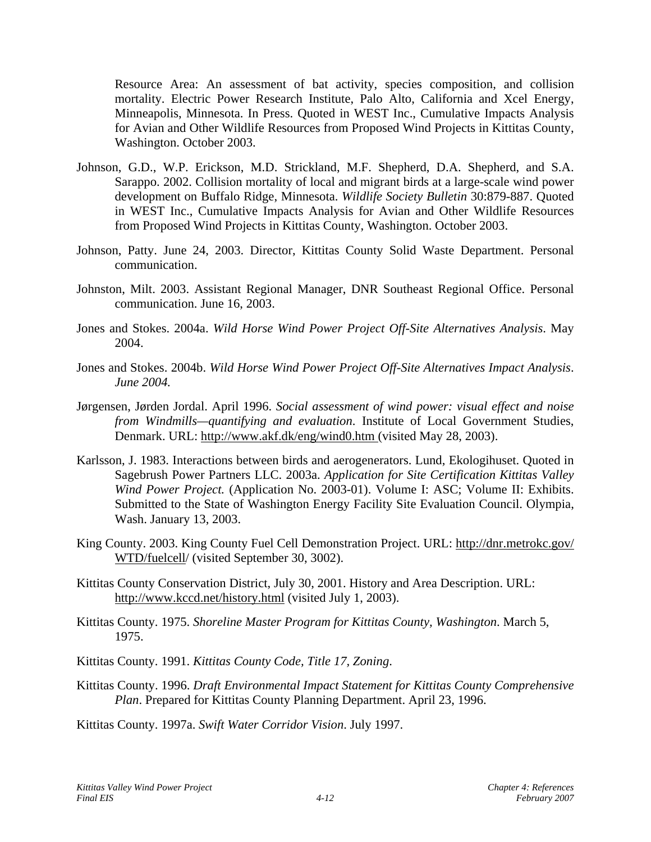Resource Area: An assessment of bat activity, species composition, and collision mortality. Electric Power Research Institute, Palo Alto, California and Xcel Energy, Minneapolis, Minnesota. In Press. Quoted in WEST Inc., Cumulative Impacts Analysis for Avian and Other Wildlife Resources from Proposed Wind Projects in Kittitas County, Washington. October 2003.

- Johnson, G.D., W.P. Erickson, M.D. Strickland, M.F. Shepherd, D.A. Shepherd, and S.A. Sarappo. 2002. Collision mortality of local and migrant birds at a large-scale wind power development on Buffalo Ridge, Minnesota. *Wildlife Society Bulletin* 30:879-887. Quoted in WEST Inc., Cumulative Impacts Analysis for Avian and Other Wildlife Resources from Proposed Wind Projects in Kittitas County, Washington. October 2003.
- Johnson, Patty. June 24, 2003. Director, Kittitas County Solid Waste Department. Personal communication.
- Johnston, Milt. 2003. Assistant Regional Manager, DNR Southeast Regional Office. Personal communication. June 16, 2003.
- Jones and Stokes. 2004a. *Wild Horse Wind Power Project Off-Site Alternatives Analysis*. May 2004.
- Jones and Stokes. 2004b. *Wild Horse Wind Power Project Off-Site Alternatives Impact Analysis*. *June 2004.*
- Jørgensen, Jørden Jordal. April 1996. *Social assessment of wind power: visual effect and noise from Windmills—quantifying and evaluation*. Institute of Local Government Studies, Denmark. URL: http://www.akf.dk/eng/wind0.htm (visited May 28, 2003).
- Karlsson, J. 1983. Interactions between birds and aerogenerators. Lund, Ekologihuset. Quoted in Sagebrush Power Partners LLC. 2003a. *Application for Site Certification Kittitas Valley Wind Power Project.* (Application No. 2003-01). Volume I: ASC; Volume II: Exhibits. Submitted to the State of Washington Energy Facility Site Evaluation Council. Olympia, Wash. January 13, 2003.
- King County. 2003. King County Fuel Cell Demonstration Project. URL: http://dnr.metrokc.gov/ WTD/fuelcell/ (visited September 30, 3002).
- Kittitas County Conservation District, July 30, 2001. History and Area Description. URL: http://www.kccd.net/history.html (visited July 1, 2003).
- Kittitas County. 1975. *Shoreline Master Program for Kittitas County, Washington*. March 5, 1975.
- Kittitas County. 1991. *Kittitas County Code, Title 17, Zoning*.
- Kittitas County. 1996. *Draft Environmental Impact Statement for Kittitas County Comprehensive Plan*. Prepared for Kittitas County Planning Department. April 23, 1996.

Kittitas County. 1997a. *Swift Water Corridor Vision*. July 1997.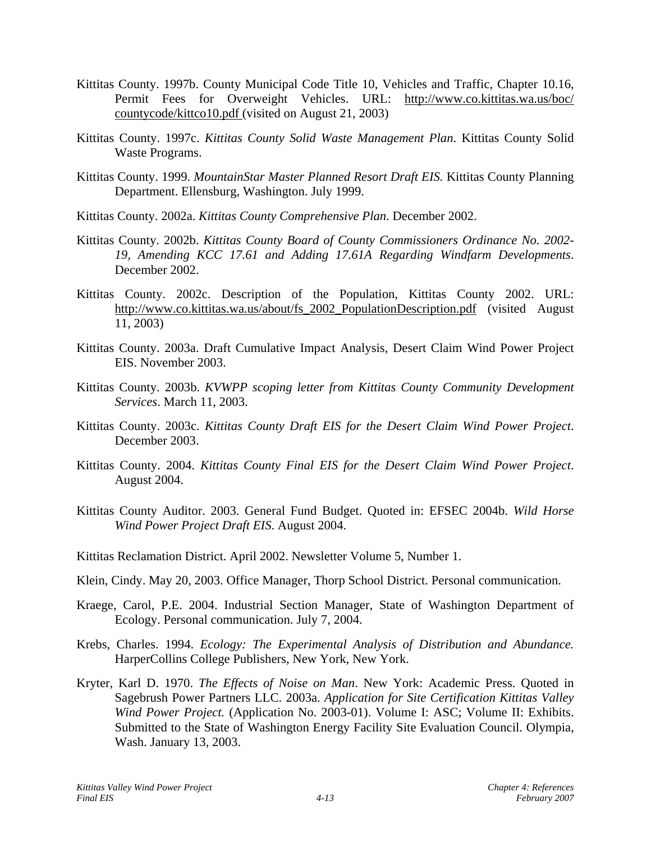- Kittitas County. 1997b. County Municipal Code Title 10, Vehicles and Traffic, Chapter 10.16, Permit Fees for Overweight Vehicles. URL: http://www.co.kittitas.wa.us/boc/ countycode/kittco10.pdf (visited on August 21, 2003)
- Kittitas County. 1997c. *Kittitas County Solid Waste Management Plan*. Kittitas County Solid Waste Programs.
- Kittitas County. 1999. *MountainStar Master Planned Resort Draft EIS.* Kittitas County Planning Department. Ellensburg, Washington. July 1999.
- Kittitas County. 2002a. *Kittitas County Comprehensive Plan*. December 2002.
- Kittitas County. 2002b. *Kittitas County Board of County Commissioners Ordinance No. 2002- 19, Amending KCC 17.61 and Adding 17.61A Regarding Windfarm Developments*. December 2002.
- Kittitas County. 2002c. Description of the Population, Kittitas County 2002. URL: http://www.co.kittitas.wa.us/about/fs\_2002\_PopulationDescription.pdf (visited August 11, 2003)
- Kittitas County. 2003a. Draft Cumulative Impact Analysis, Desert Claim Wind Power Project EIS. November 2003.
- Kittitas County. 2003b. *KVWPP scoping letter from Kittitas County Community Development Services*. March 11, 2003.
- Kittitas County. 2003c. *Kittitas County Draft EIS for the Desert Claim Wind Power Project*. December 2003.
- Kittitas County. 2004. *Kittitas County Final EIS for the Desert Claim Wind Power Project*. August 2004.
- Kittitas County Auditor. 2003. General Fund Budget. Quoted in: EFSEC 2004b. *Wild Horse Wind Power Project Draft EIS*. August 2004.
- Kittitas Reclamation District. April 2002. Newsletter Volume 5, Number 1.
- Klein, Cindy. May 20, 2003. Office Manager, Thorp School District. Personal communication.
- Kraege, Carol, P.E. 2004. Industrial Section Manager, State of Washington Department of Ecology. Personal communication. July 7, 2004.
- Krebs, Charles. 1994. *Ecology: The Experimental Analysis of Distribution and Abundance.* HarperCollins College Publishers, New York, New York.
- Kryter, Karl D. 1970. *The Effects of Noise on Man*. New York: Academic Press. Quoted in Sagebrush Power Partners LLC. 2003a. *Application for Site Certification Kittitas Valley Wind Power Project.* (Application No. 2003-01). Volume I: ASC; Volume II: Exhibits. Submitted to the State of Washington Energy Facility Site Evaluation Council. Olympia, Wash. January 13, 2003.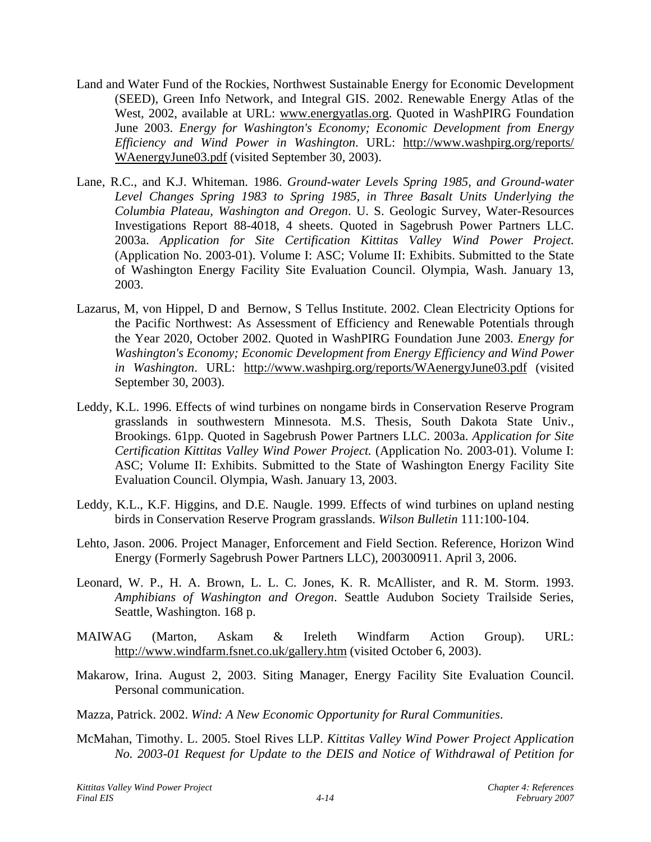- Land and Water Fund of the Rockies, Northwest Sustainable Energy for Economic Development (SEED), Green Info Network, and Integral GIS. 2002. Renewable Energy Atlas of the West, 2002, available at URL: www.energyatlas.org. Quoted in WashPIRG Foundation June 2003. *Energy for Washington's Economy; Economic Development from Energy Efficiency and Wind Power in Washington*. URL: http://www.washpirg.org/reports/ WAenergyJune03.pdf (visited September 30, 2003).
- Lane, R.C., and K.J. Whiteman. 1986. *Ground-water Levels Spring 1985, and Ground-water Level Changes Spring 1983 to Spring 1985, in Three Basalt Units Underlying the Columbia Plateau, Washington and Oregon*. U. S. Geologic Survey, Water-Resources Investigations Report 88-4018, 4 sheets. Quoted in Sagebrush Power Partners LLC. 2003a. *Application for Site Certification Kittitas Valley Wind Power Project.*  (Application No. 2003-01). Volume I: ASC; Volume II: Exhibits. Submitted to the State of Washington Energy Facility Site Evaluation Council. Olympia, Wash. January 13, 2003.
- Lazarus, M, von Hippel, D and Bernow, S Tellus Institute. 2002. Clean Electricity Options for the Pacific Northwest: As Assessment of Efficiency and Renewable Potentials through the Year 2020, October 2002. Quoted in WashPIRG Foundation June 2003. *Energy for Washington's Economy; Economic Development from Energy Efficiency and Wind Power in Washington*. URL: http://www.washpirg.org/reports/WAenergyJune03.pdf (visited September 30, 2003).
- Leddy, K.L. 1996. Effects of wind turbines on nongame birds in Conservation Reserve Program grasslands in southwestern Minnesota. M.S. Thesis, South Dakota State Univ., Brookings. 61pp. Quoted in Sagebrush Power Partners LLC. 2003a. *Application for Site Certification Kittitas Valley Wind Power Project.* (Application No. 2003-01). Volume I: ASC; Volume II: Exhibits. Submitted to the State of Washington Energy Facility Site Evaluation Council. Olympia, Wash. January 13, 2003.
- Leddy, K.L., K.F. Higgins, and D.E. Naugle. 1999. Effects of wind turbines on upland nesting birds in Conservation Reserve Program grasslands. *Wilson Bulletin* 111:100-104.
- Lehto, Jason. 2006. Project Manager, Enforcement and Field Section. Reference, Horizon Wind Energy (Formerly Sagebrush Power Partners LLC), 200300911. April 3, 2006.
- Leonard, W. P., H. A. Brown, L. L. C. Jones, K. R. McAllister, and R. M. Storm. 1993. *Amphibians of Washington and Oregon*. Seattle Audubon Society Trailside Series, Seattle, Washington. 168 p.
- MAIWAG (Marton, Askam & Ireleth Windfarm Action Group). URL: http://www.windfarm.fsnet.co.uk/gallery.htm (visited October 6, 2003).
- Makarow, Irina. August 2, 2003. Siting Manager, Energy Facility Site Evaluation Council. Personal communication.
- Mazza, Patrick. 2002. *Wind: A New Economic Opportunity for Rural Communities*.
- McMahan, Timothy. L. 2005. Stoel Rives LLP. *Kittitas Valley Wind Power Project Application No. 2003-01 Request for Update to the DEIS and Notice of Withdrawal of Petition for*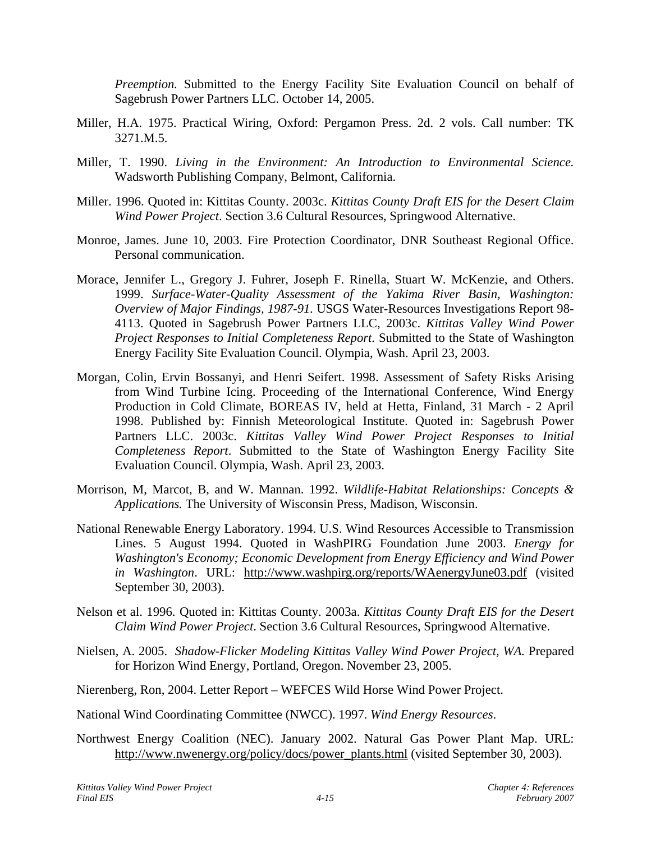*Preemption.* Submitted to the Energy Facility Site Evaluation Council on behalf of Sagebrush Power Partners LLC. October 14, 2005.

- Miller, H.A. 1975. Practical Wiring, Oxford: Pergamon Press. 2d. 2 vols. Call number: TK 3271.M.5.
- Miller, T. 1990. *Living in the Environment: An Introduction to Environmental Science.*  Wadsworth Publishing Company, Belmont, California.
- Miller. 1996. Quoted in: Kittitas County. 2003c. *Kittitas County Draft EIS for the Desert Claim Wind Power Project*. Section 3.6 Cultural Resources, Springwood Alternative.
- Monroe, James. June 10, 2003. Fire Protection Coordinator, DNR Southeast Regional Office. Personal communication.
- Morace, Jennifer L., Gregory J. Fuhrer, Joseph F. Rinella, Stuart W. McKenzie, and Others. 1999. *Surface-Water-Quality Assessment of the Yakima River Basin, Washington: Overview of Major Findings, 1987-91.* USGS Water-Resources Investigations Report 98- 4113. Quoted in Sagebrush Power Partners LLC, 2003c. *Kittitas Valley Wind Power Project Responses to Initial Completeness Report*. Submitted to the State of Washington Energy Facility Site Evaluation Council. Olympia, Wash. April 23, 2003.
- Morgan, Colin, Ervin Bossanyi, and Henri Seifert. 1998. Assessment of Safety Risks Arising from Wind Turbine Icing. Proceeding of the International Conference, Wind Energy Production in Cold Climate, BOREAS IV, held at Hetta, Finland, 31 March - 2 April 1998. Published by: Finnish Meteorological Institute. Quoted in: Sagebrush Power Partners LLC. 2003c. *Kittitas Valley Wind Power Project Responses to Initial Completeness Report*. Submitted to the State of Washington Energy Facility Site Evaluation Council. Olympia, Wash. April 23, 2003.
- Morrison, M, Marcot, B, and W. Mannan. 1992. *Wildlife-Habitat Relationships: Concepts & Applications.* The University of Wisconsin Press, Madison, Wisconsin.
- National Renewable Energy Laboratory. 1994. U.S. Wind Resources Accessible to Transmission Lines. 5 August 1994. Quoted in WashPIRG Foundation June 2003. *Energy for Washington's Economy; Economic Development from Energy Efficiency and Wind Power in Washington*. URL: <http://www.washpirg.org/reports/WAenergyJune03.pdf>(visited September 30, 2003).
- Nelson et al. 1996. Quoted in: Kittitas County. 2003a. *Kittitas County Draft EIS for the Desert Claim Wind Power Project*. Section 3.6 Cultural Resources, Springwood Alternative.
- Nielsen, A. 2005. *Shadow-Flicker Modeling Kittitas Valley Wind Power Project, WA.* Prepared for Horizon Wind Energy, Portland, Oregon. November 23, 2005.
- Nierenberg, Ron, 2004. Letter Report WEFCES Wild Horse Wind Power Project.
- National Wind Coordinating Committee (NWCC). 1997. *Wind Energy Resources*.
- Northwest Energy Coalition (NEC). January 2002. Natural Gas Power Plant Map. URL: [http://www.nwenergy.org/policy/docs/power\\_plants.html](http://www.nwenergy.org/policy/docs/power_plants.html) (visited September 30, 2003).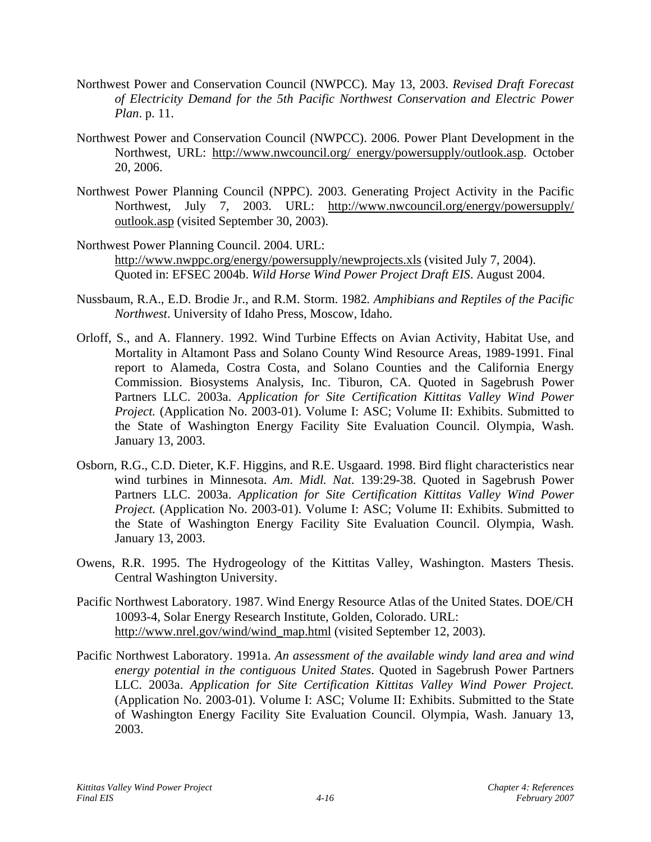- Northwest Power and Conservation Council (NWPCC). May 13, 2003. *Revised Draft Forecast of Electricity Demand for the 5th Pacific Northwest Conservation and Electric Power Plan*. p. 11.
- Northwest Power and Conservation Council (NWPCC). 2006. Power Plant Development in the Northwest, URL: http://www.nwcouncil.org/ energy/powersupply/outlook.asp. October 20, 2006.
- Northwest Power Planning Council (NPPC). 2003. Generating Project Activity in the Pacific Northwest, July 7, 2003. URL: http://www.nwcouncil.org/energy/powersupply/ outlook.asp (visited September 30, 2003).
- Northwest Power Planning Council. 2004. URL: <http://www.nwppc.org/energy/powersupply/newprojects.xls> (visited July 7, 2004). Quoted in: EFSEC 2004b. *Wild Horse Wind Power Project Draft EIS*. August 2004.
- Nussbaum, R.A., E.D. Brodie Jr., and R.M. Storm. 1982*. Amphibians and Reptiles of the Pacific Northwest*. University of Idaho Press, Moscow, Idaho.
- Orloff, S., and A. Flannery. 1992. Wind Turbine Effects on Avian Activity, Habitat Use, and Mortality in Altamont Pass and Solano County Wind Resource Areas, 1989-1991. Final report to Alameda, Costra Costa, and Solano Counties and the California Energy Commission. Biosystems Analysis, Inc. Tiburon, CA. Quoted in Sagebrush Power Partners LLC. 2003a. *Application for Site Certification Kittitas Valley Wind Power Project.* (Application No. 2003-01). Volume I: ASC; Volume II: Exhibits. Submitted to the State of Washington Energy Facility Site Evaluation Council. Olympia, Wash. January 13, 2003.
- Osborn, R.G., C.D. Dieter, K.F. Higgins, and R.E. Usgaard. 1998. Bird flight characteristics near wind turbines in Minnesota. *Am. Midl. Nat*. 139:29-38. Quoted in Sagebrush Power Partners LLC. 2003a. *Application for Site Certification Kittitas Valley Wind Power Project.* (Application No. 2003-01). Volume I: ASC; Volume II: Exhibits. Submitted to the State of Washington Energy Facility Site Evaluation Council. Olympia, Wash. January 13, 2003.
- Owens, R.R. 1995. The Hydrogeology of the Kittitas Valley, Washington. Masters Thesis. Central Washington University.
- Pacific Northwest Laboratory. 1987. Wind Energy Resource Atlas of the United States. DOE/CH 10093-4, Solar Energy Research Institute, Golden, Colorado. URL: [http://www.nrel.gov/wind/wind\\_map.html](http://www.nrel.gov/wind/wind_map.html) (visited September 12, 2003).
- Pacific Northwest Laboratory. 1991a. *An assessment of the available windy land area and wind energy potential in the contiguous United States*. Quoted in Sagebrush Power Partners LLC. 2003a. *Application for Site Certification Kittitas Valley Wind Power Project.*  (Application No. 2003-01). Volume I: ASC; Volume II: Exhibits. Submitted to the State of Washington Energy Facility Site Evaluation Council. Olympia, Wash. January 13, 2003.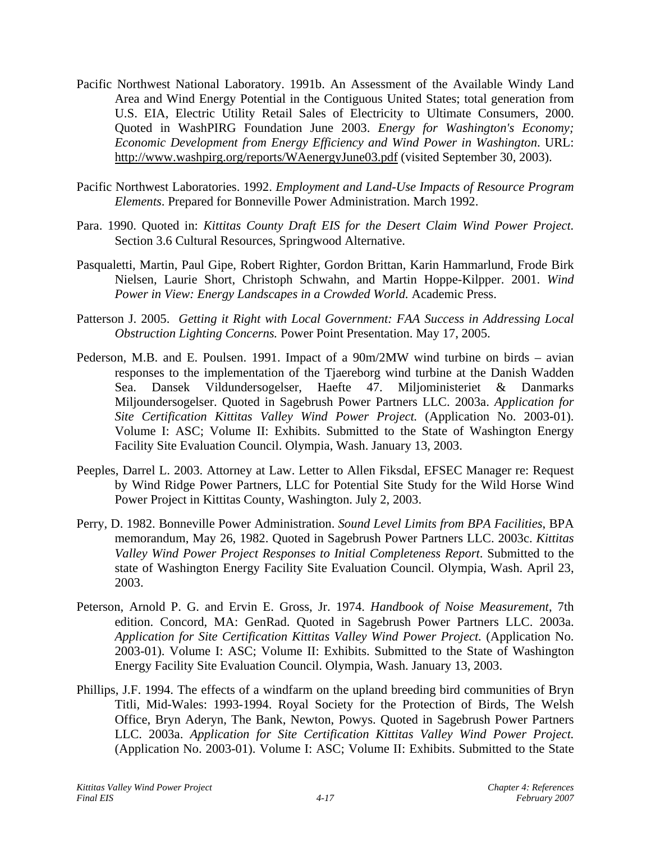- Pacific Northwest National Laboratory. 1991b. An Assessment of the Available Windy Land Area and Wind Energy Potential in the Contiguous United States; total generation from U.S. EIA, Electric Utility Retail Sales of Electricity to Ultimate Consumers, 2000. Quoted in WashPIRG Foundation June 2003. *Energy for Washington's Economy; Economic Development from Energy Efficiency and Wind Power in Washington*. URL: <http://www.washpirg.org/reports/WAenergyJune03.pdf> (visited September 30, 2003).
- Pacific Northwest Laboratories. 1992. *Employment and Land-Use Impacts of Resource Program Elements*. Prepared for Bonneville Power Administration. March 1992.
- Para. 1990. Quoted in: *Kittitas County Draft EIS for the Desert Claim Wind Power Project.*  Section 3.6 Cultural Resources, Springwood Alternative.
- Pasqualetti, Martin, Paul Gipe, Robert Righter, Gordon Brittan, Karin Hammarlund, Frode Birk Nielsen, Laurie Short, Christoph Schwahn, and Martin Hoppe-Kilpper. 2001. *Wind Power in View: Energy Landscapes in a Crowded World.* Academic Press.
- Patterson J. 2005. *Getting it Right with Local Government: FAA Success in Addressing Local Obstruction Lighting Concerns.* Power Point Presentation. May 17, 2005.
- Pederson, M.B. and E. Poulsen. 1991. Impact of a 90m/2MW wind turbine on birds avian responses to the implementation of the Tjaereborg wind turbine at the Danish Wadden Sea. Dansek Vildundersogelser, Haefte 47. Miljoministeriet & Danmarks Miljoundersogelser. Quoted in Sagebrush Power Partners LLC. 2003a. *Application for Site Certification Kittitas Valley Wind Power Project.* (Application No. 2003-01). Volume I: ASC; Volume II: Exhibits. Submitted to the State of Washington Energy Facility Site Evaluation Council. Olympia, Wash. January 13, 2003.
- Peeples, Darrel L. 2003. Attorney at Law. Letter to Allen Fiksdal, EFSEC Manager re: Request by Wind Ridge Power Partners, LLC for Potential Site Study for the Wild Horse Wind Power Project in Kittitas County, Washington. July 2, 2003.
- Perry, D. 1982. Bonneville Power Administration. *Sound Level Limits from BPA Facilities*, BPA memorandum, May 26, 1982. Quoted in Sagebrush Power Partners LLC. 2003c. *Kittitas Valley Wind Power Project Responses to Initial Completeness Report*. Submitted to the state of Washington Energy Facility Site Evaluation Council. Olympia, Wash. April 23, 2003.
- Peterson, Arnold P. G. and Ervin E. Gross, Jr. 1974. *Handbook of Noise Measurement*, 7th edition. Concord, MA: GenRad. Quoted in Sagebrush Power Partners LLC. 2003a. *Application for Site Certification Kittitas Valley Wind Power Project.* (Application No. 2003-01). Volume I: ASC; Volume II: Exhibits. Submitted to the State of Washington Energy Facility Site Evaluation Council. Olympia, Wash. January 13, 2003.
- Phillips, J.F. 1994. The effects of a windfarm on the upland breeding bird communities of Bryn Titli, Mid-Wales: 1993-1994. Royal Society for the Protection of Birds, The Welsh Office, Bryn Aderyn, The Bank, Newton, Powys. Quoted in Sagebrush Power Partners LLC. 2003a. *Application for Site Certification Kittitas Valley Wind Power Project.*  (Application No. 2003-01). Volume I: ASC; Volume II: Exhibits. Submitted to the State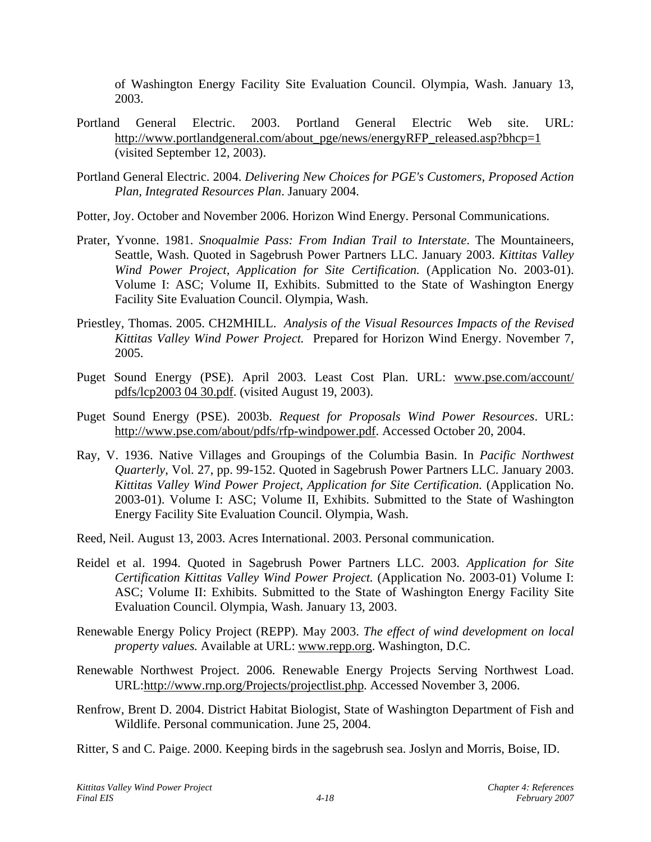of Washington Energy Facility Site Evaluation Council. Olympia, Wash. January 13, 2003.

- Portland General Electric. 2003. Portland General Electric Web site. URL: http://www.portlandgeneral.com/about\_pge/news/energyRFP\_released.asp?bhcp=1 (visited September 12, 2003).
- Portland General Electric. 2004. *Delivering New Choices for PGE's Customers, Proposed Action Plan, Integrated Resources Plan*. January 2004.
- Potter, Joy. October and November 2006. Horizon Wind Energy. Personal Communications.
- Prater, Yvonne. 1981. *Snoqualmie Pass: From Indian Trail to Interstate*. The Mountaineers, Seattle, Wash. Quoted in Sagebrush Power Partners LLC. January 2003. *Kittitas Valley Wind Power Project, Application for Site Certification.* (Application No. 2003-01). Volume I: ASC; Volume II, Exhibits. Submitted to the State of Washington Energy Facility Site Evaluation Council. Olympia, Wash.
- Priestley, Thomas. 2005. CH2MHILL. *Analysis of the Visual Resources Impacts of the Revised Kittitas Valley Wind Power Project.* Prepared for Horizon Wind Energy. November 7, 2005.
- Puget Sound Energy (PSE). April 2003. Least Cost Plan. URL: www.pse.com/account/ pdfs/lcp2003 04 30.pdf. (visited August 19, 2003).
- Puget Sound Energy (PSE). 2003b. *Request for Proposals Wind Power Resources*. URL: http://www.pse.com/about/pdfs/rfp-windpower.pdf. Accessed October 20, 2004.
- Ray, V. 1936. Native Villages and Groupings of the Columbia Basin. In *Pacific Northwest Quarterly*, Vol. 27, pp. 99-152. Quoted in Sagebrush Power Partners LLC. January 2003. *Kittitas Valley Wind Power Project, Application for Site Certification.* (Application No. 2003-01). Volume I: ASC; Volume II, Exhibits. Submitted to the State of Washington Energy Facility Site Evaluation Council. Olympia, Wash.
- Reed, Neil. August 13, 2003. Acres International. 2003. Personal communication.
- Reidel et al. 1994. Quoted in Sagebrush Power Partners LLC. 2003. *Application for Site Certification Kittitas Valley Wind Power Project.* (Application No. 2003-01) Volume I: ASC; Volume II: Exhibits. Submitted to the State of Washington Energy Facility Site Evaluation Council. Olympia, Wash. January 13, 2003.
- Renewable Energy Policy Project (REPP). May 2003. *The effect of wind development on local property values.* Available at URL: www.repp.org. Washington, D.C.
- Renewable Northwest Project. 2006. Renewable Energy Projects Serving Northwest Load. [URL:http://www.rnp.org/Projects/projectlist.php. Accessed November 3](http://www.rnp.org/Projects/projectlist.php.%20Acessed%20November%203), 2006.
- Renfrow, Brent D. 2004. District Habitat Biologist, State of Washington Department of Fish and Wildlife. Personal communication. June 25, 2004.
- Ritter, S and C. Paige. 2000. Keeping birds in the sagebrush sea. Joslyn and Morris, Boise, ID.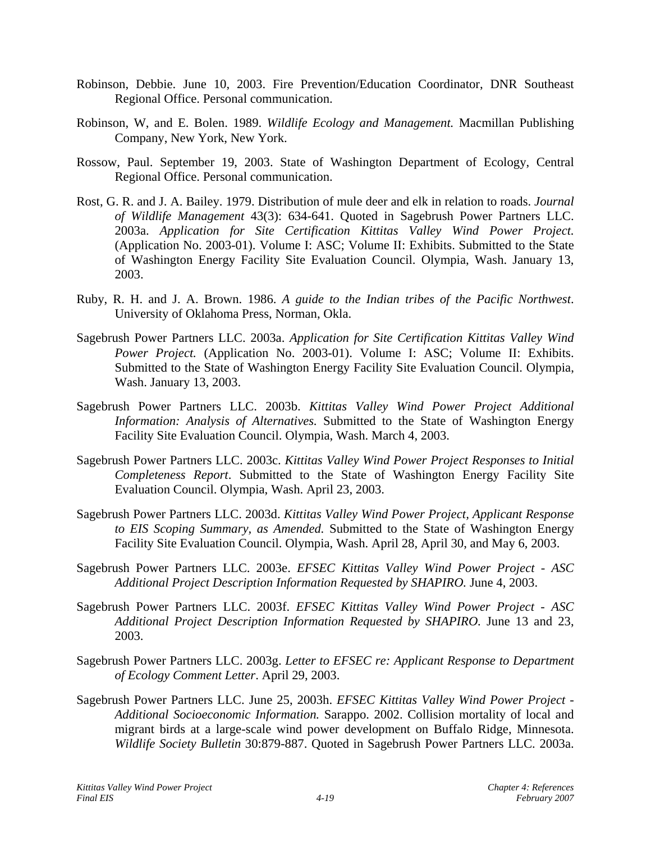- Robinson, Debbie. June 10, 2003. Fire Prevention/Education Coordinator, DNR Southeast Regional Office. Personal communication.
- Robinson, W, and E. Bolen. 1989. *Wildlife Ecology and Management.* Macmillan Publishing Company, New York, New York.
- Rossow, Paul. September 19, 2003. State of Washington Department of Ecology, Central Regional Office. Personal communication.
- Rost, G. R. and J. A. Bailey. 1979. Distribution of mule deer and elk in relation to roads. *Journal of Wildlife Management* 43(3): 634-641. Quoted in Sagebrush Power Partners LLC. 2003a. *Application for Site Certification Kittitas Valley Wind Power Project.*  (Application No. 2003-01). Volume I: ASC; Volume II: Exhibits. Submitted to the State of Washington Energy Facility Site Evaluation Council. Olympia, Wash. January 13, 2003.
- Ruby, R. H. and J. A. Brown. 1986. *A guide to the Indian tribes of the Pacific Northwest*. University of Oklahoma Press, Norman, Okla.
- Sagebrush Power Partners LLC. 2003a. *Application for Site Certification Kittitas Valley Wind Power Project.* (Application No. 2003-01). Volume I: ASC; Volume II: Exhibits. Submitted to the State of Washington Energy Facility Site Evaluation Council. Olympia, Wash. January 13, 2003.
- Sagebrush Power Partners LLC. 2003b. *Kittitas Valley Wind Power Project Additional Information: Analysis of Alternatives.* Submitted to the State of Washington Energy Facility Site Evaluation Council. Olympia, Wash. March 4, 2003.
- Sagebrush Power Partners LLC. 2003c. *Kittitas Valley Wind Power Project Responses to Initial Completeness Report*. Submitted to the State of Washington Energy Facility Site Evaluation Council. Olympia, Wash. April 23, 2003.
- Sagebrush Power Partners LLC. 2003d. *Kittitas Valley Wind Power Project, Applicant Response to EIS Scoping Summary, as Amended.* Submitted to the State of Washington Energy Facility Site Evaluation Council. Olympia, Wash. April 28, April 30, and May 6, 2003.
- Sagebrush Power Partners LLC. 2003e. *EFSEC Kittitas Valley Wind Power Project ASC Additional Project Description Information Requested by SHAPIRO.* June 4, 2003.
- Sagebrush Power Partners LLC. 2003f. *EFSEC Kittitas Valley Wind Power Project ASC Additional Project Description Information Requested by SHAPIRO.* June 13 and 23, 2003.
- Sagebrush Power Partners LLC. 2003g. *Letter to EFSEC re: Applicant Response to Department of Ecology Comment Letter*. April 29, 2003.
- Sagebrush Power Partners LLC. June 25, 2003h. *EFSEC Kittitas Valley Wind Power Project Additional Socioeconomic Information.* Sarappo. 2002. Collision mortality of local and migrant birds at a large-scale wind power development on Buffalo Ridge, Minnesota. *Wildlife Society Bulletin* 30:879-887. Quoted in Sagebrush Power Partners LLC. 2003a.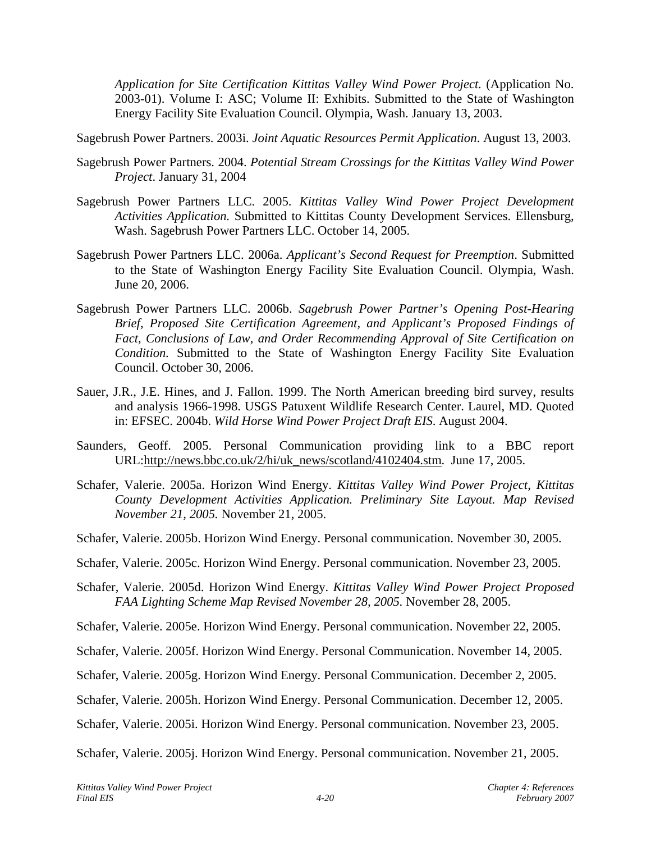*Application for Site Certification Kittitas Valley Wind Power Project.* (Application No. 2003-01). Volume I: ASC; Volume II: Exhibits. Submitted to the State of Washington Energy Facility Site Evaluation Council. Olympia, Wash. January 13, 2003.

Sagebrush Power Partners. 2003i. *Joint Aquatic Resources Permit Application*. August 13, 2003.

- Sagebrush Power Partners. 2004. *Potential Stream Crossings for the Kittitas Valley Wind Power Project*. January 31, 2004
- Sagebrush Power Partners LLC. 2005. *Kittitas Valley Wind Power Project Development Activities Application.* Submitted to Kittitas County Development Services. Ellensburg, Wash. Sagebrush Power Partners LLC. October 14, 2005.
- Sagebrush Power Partners LLC. 2006a. *Applicant's Second Request for Preemption*. Submitted to the State of Washington Energy Facility Site Evaluation Council. Olympia, Wash. June 20, 2006.
- Sagebrush Power Partners LLC. 2006b. *Sagebrush Power Partner's Opening Post-Hearing Brief, Proposed Site Certification Agreement, and Applicant's Proposed Findings of Fact, Conclusions of Law, and Order Recommending Approval of Site Certification on Condition.* Submitted to the State of Washington Energy Facility Site Evaluation Council. October 30, 2006.
- Sauer, J.R., J.E. Hines, and J. Fallon. 1999. The North American breeding bird survey, results and analysis 1966-1998. USGS Patuxent Wildlife Research Center. Laurel, MD. Quoted in: EFSEC. 2004b. *Wild Horse Wind Power Project Draft EIS*. August 2004.
- Saunders, Geoff. 2005. Personal Communication providing link to a BBC report [URL:http://news.bbc.co.uk/2/hi/uk\\_news/scotland/4102404.stm. June 17](http://news.bbc.co.uk/2/hi/uk_news/scotland/4102404.stm.%20%20June%2017), 2005.
- Schafer, Valerie. 2005a. Horizon Wind Energy. *Kittitas Valley Wind Power Project, Kittitas County Development Activities Application. Preliminary Site Layout. Map Revised November 21, 2005.* November 21, 2005.
- Schafer, Valerie. 2005b. Horizon Wind Energy. Personal communication. November 30, 2005.
- Schafer, Valerie. 2005c. Horizon Wind Energy. Personal communication. November 23, 2005.
- Schafer, Valerie. 2005d. Horizon Wind Energy. *Kittitas Valley Wind Power Project Proposed FAA Lighting Scheme Map Revised November 28, 2005.* November 28, 2005.
- Schafer, Valerie. 2005e. Horizon Wind Energy. Personal communication. November 22, 2005.
- Schafer, Valerie. 2005f. Horizon Wind Energy. Personal Communication. November 14, 2005.
- Schafer, Valerie. 2005g. Horizon Wind Energy. Personal Communication. December 2, 2005.
- Schafer, Valerie. 2005h. Horizon Wind Energy. Personal Communication. December 12, 2005.
- Schafer, Valerie. 2005i. Horizon Wind Energy. Personal communication. November 23, 2005.

Schafer, Valerie. 2005j. Horizon Wind Energy. Personal communication. November 21, 2005.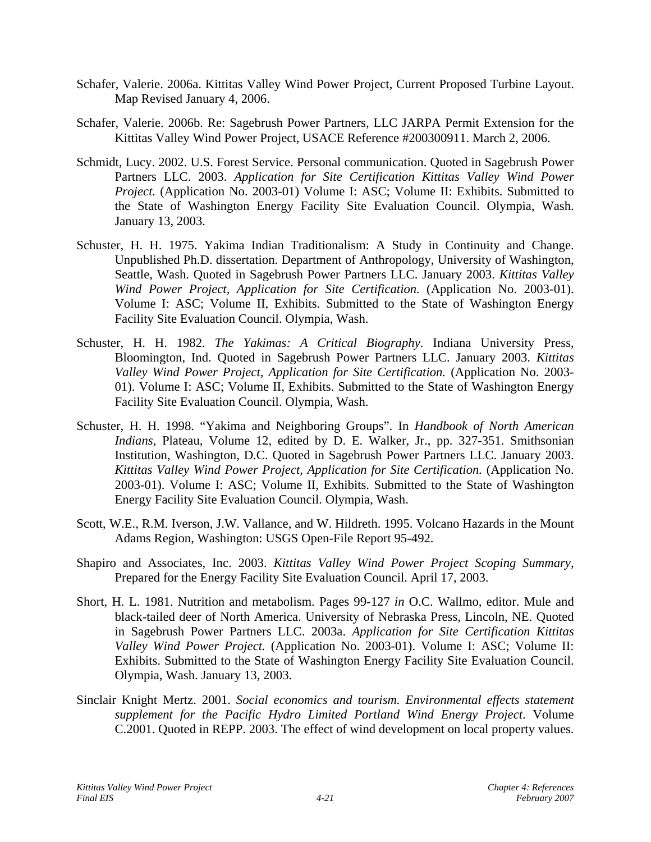- Schafer, Valerie. 2006a. Kittitas Valley Wind Power Project, Current Proposed Turbine Layout. Map Revised January 4, 2006.
- Schafer, Valerie. 2006b. Re: Sagebrush Power Partners, LLC JARPA Permit Extension for the Kittitas Valley Wind Power Project, USACE Reference #200300911. March 2, 2006.
- Schmidt, Lucy. 2002. U.S. Forest Service. Personal communication. Quoted in Sagebrush Power Partners LLC. 2003. *Application for Site Certification Kittitas Valley Wind Power Project.* (Application No. 2003-01) Volume I: ASC; Volume II: Exhibits. Submitted to the State of Washington Energy Facility Site Evaluation Council. Olympia, Wash. January 13, 2003.
- Schuster, H. H. 1975. Yakima Indian Traditionalism: A Study in Continuity and Change. Unpublished Ph.D. dissertation. Department of Anthropology, University of Washington, Seattle, Wash. Quoted in Sagebrush Power Partners LLC. January 2003. *Kittitas Valley Wind Power Project, Application for Site Certification.* (Application No. 2003-01). Volume I: ASC; Volume II, Exhibits. Submitted to the State of Washington Energy Facility Site Evaluation Council. Olympia, Wash.
- Schuster, H. H. 1982. *The Yakimas: A Critical Biography*. Indiana University Press, Bloomington, Ind. Quoted in Sagebrush Power Partners LLC. January 2003. *Kittitas Valley Wind Power Project, Application for Site Certification.* (Application No. 2003- 01). Volume I: ASC; Volume II, Exhibits. Submitted to the State of Washington Energy Facility Site Evaluation Council. Olympia, Wash.
- Schuster, H. H. 1998. "Yakima and Neighboring Groups". In *Handbook of North American Indians*, Plateau, Volume 12, edited by D. E. Walker, Jr., pp. 327-351. Smithsonian Institution, Washington, D.C. Quoted in Sagebrush Power Partners LLC. January 2003. *Kittitas Valley Wind Power Project, Application for Site Certification.* (Application No. 2003-01). Volume I: ASC; Volume II, Exhibits. Submitted to the State of Washington Energy Facility Site Evaluation Council. Olympia, Wash.
- Scott, W.E., R.M. Iverson, J.W. Vallance, and W. Hildreth. 1995. Volcano Hazards in the Mount Adams Region, Washington: USGS Open-File Report 95-492.
- Shapiro and Associates, Inc. 2003. *Kittitas Valley Wind Power Project Scoping Summary*, Prepared for the Energy Facility Site Evaluation Council. April 17, 2003.
- Short, H. L. 1981. Nutrition and metabolism. Pages 99-127 *in* O.C. Wallmo, editor. Mule and black-tailed deer of North America. University of Nebraska Press, Lincoln, NE. Quoted in Sagebrush Power Partners LLC. 2003a. *Application for Site Certification Kittitas Valley Wind Power Project.* (Application No. 2003-01). Volume I: ASC; Volume II: Exhibits. Submitted to the State of Washington Energy Facility Site Evaluation Council. Olympia, Wash. January 13, 2003.
- Sinclair Knight Mertz. 2001. *Social economics and tourism. Environmental effects statement supplement for the Pacific Hydro Limited Portland Wind Energy Project*. Volume C.2001. Quoted in REPP. 2003. The effect of wind development on local property values.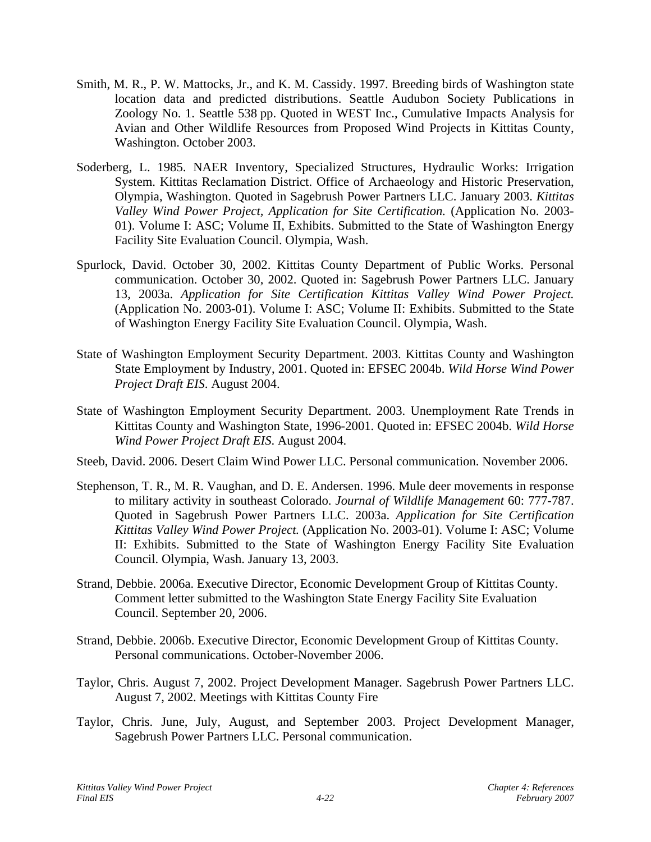- Smith, M. R., P. W. Mattocks, Jr., and K. M. Cassidy. 1997. Breeding birds of Washington state location data and predicted distributions. Seattle Audubon Society Publications in Zoology No. 1. Seattle 538 pp. Quoted in WEST Inc., Cumulative Impacts Analysis for Avian and Other Wildlife Resources from Proposed Wind Projects in Kittitas County, Washington. October 2003.
- Soderberg, L. 1985. NAER Inventory, Specialized Structures, Hydraulic Works: Irrigation System. Kittitas Reclamation District. Office of Archaeology and Historic Preservation, Olympia, Washington. Quoted in Sagebrush Power Partners LLC. January 2003. *Kittitas Valley Wind Power Project, Application for Site Certification.* (Application No. 2003- 01). Volume I: ASC; Volume II, Exhibits. Submitted to the State of Washington Energy Facility Site Evaluation Council. Olympia, Wash.
- Spurlock, David. October 30, 2002. Kittitas County Department of Public Works. Personal communication. October 30, 2002. Quoted in: Sagebrush Power Partners LLC. January 13, 2003a. *Application for Site Certification Kittitas Valley Wind Power Project.*  (Application No. 2003-01). Volume I: ASC; Volume II: Exhibits. Submitted to the State of Washington Energy Facility Site Evaluation Council. Olympia, Wash.
- State of Washington Employment Security Department. 2003. Kittitas County and Washington State Employment by Industry, 2001. Quoted in: EFSEC 2004b. *Wild Horse Wind Power Project Draft EIS*. August 2004.
- State of Washington Employment Security Department. 2003. Unemployment Rate Trends in Kittitas County and Washington State, 1996-2001. Quoted in: EFSEC 2004b. *Wild Horse Wind Power Project Draft EIS*. August 2004.
- Steeb, David. 2006. Desert Claim Wind Power LLC. Personal communication. November 2006.
- Stephenson, T. R., M. R. Vaughan, and D. E. Andersen. 1996. Mule deer movements in response to military activity in southeast Colorado. *Journal of Wildlife Management* 60: 777-787. Quoted in Sagebrush Power Partners LLC. 2003a. *Application for Site Certification Kittitas Valley Wind Power Project.* (Application No. 2003-01). Volume I: ASC; Volume II: Exhibits. Submitted to the State of Washington Energy Facility Site Evaluation Council. Olympia, Wash. January 13, 2003.
- Strand, Debbie. 2006a. Executive Director, Economic Development Group of Kittitas County. Comment letter submitted to the Washington State Energy Facility Site Evaluation Council. September 20, 2006.
- Strand, Debbie. 2006b. Executive Director, Economic Development Group of Kittitas County. Personal communications. October-November 2006.
- Taylor, Chris. August 7, 2002. Project Development Manager. Sagebrush Power Partners LLC. August 7, 2002. Meetings with Kittitas County Fire
- Taylor, Chris. June, July, August, and September 2003. Project Development Manager, Sagebrush Power Partners LLC. Personal communication.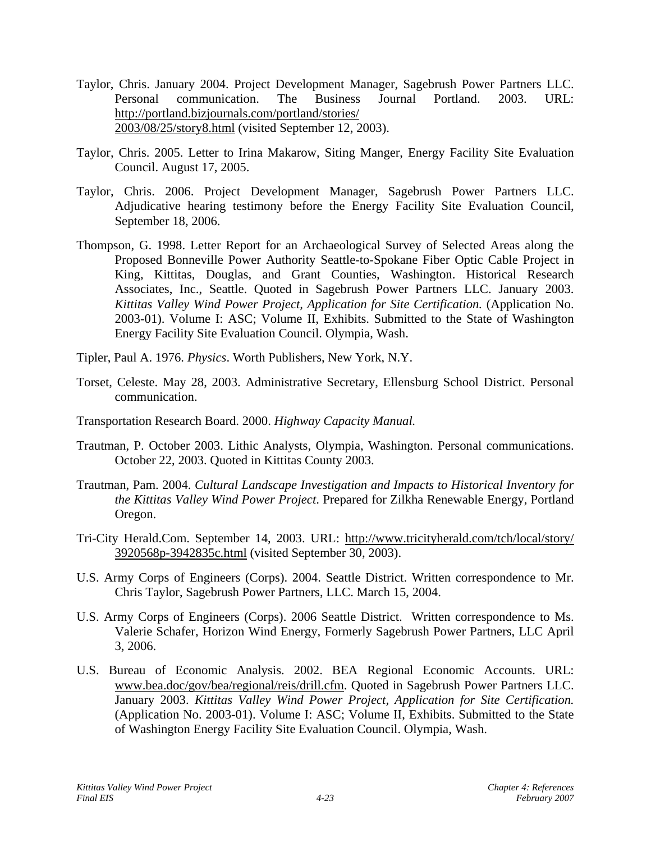- Taylor, Chris. January 2004. Project Development Manager, Sagebrush Power Partners LLC. Personal communication. The Business Journal Portland. 2003. URL: http://portland.bizjournals.com/portland/stories/ 2003/08/25/story8.html (visited September 12, 2003).
- Taylor, Chris. 2005. Letter to Irina Makarow, Siting Manger, Energy Facility Site Evaluation Council. August 17, 2005.
- Taylor, Chris. 2006. Project Development Manager, Sagebrush Power Partners LLC. Adjudicative hearing testimony before the Energy Facility Site Evaluation Council, September 18, 2006.
- Thompson, G. 1998. Letter Report for an Archaeological Survey of Selected Areas along the Proposed Bonneville Power Authority Seattle-to-Spokane Fiber Optic Cable Project in King, Kittitas, Douglas, and Grant Counties, Washington. Historical Research Associates, Inc., Seattle. Quoted in Sagebrush Power Partners LLC. January 2003. *Kittitas Valley Wind Power Project, Application for Site Certification.* (Application No. 2003-01). Volume I: ASC; Volume II, Exhibits. Submitted to the State of Washington Energy Facility Site Evaluation Council. Olympia, Wash.
- Tipler, Paul A. 1976. *Physics*. Worth Publishers, New York, N.Y.
- Torset, Celeste. May 28, 2003. Administrative Secretary, Ellensburg School District. Personal communication.
- Transportation Research Board. 2000. *Highway Capacity Manual.*
- Trautman, P. October 2003. Lithic Analysts, Olympia, Washington. Personal communications. October 22, 2003. Quoted in Kittitas County 2003.
- Trautman, Pam. 2004. *Cultural Landscape Investigation and Impacts to Historical Inventory for the Kittitas Valley Wind Power Project*. Prepared for Zilkha Renewable Energy, Portland Oregon.
- Tri-City Herald.Com. September 14, 2003. URL: http://www.tricityherald.com/tch/local/story/ 3920568p-3942835c.html (visited September 30, 2003).
- U.S. Army Corps of Engineers (Corps). 2004. Seattle District. Written correspondence to Mr. Chris Taylor, Sagebrush Power Partners, LLC. March 15, 2004.
- U.S. Army Corps of Engineers (Corps). 2006 Seattle District. Written correspondence to Ms. Valerie Schafer, Horizon Wind Energy, Formerly Sagebrush Power Partners, LLC April 3, 2006.
- U.S. Bureau of Economic Analysis. 2002. BEA Regional Economic Accounts. URL: www.bea.doc/gov/bea/regional/reis/drill.cfm. Quoted in Sagebrush Power Partners LLC. January 2003. *Kittitas Valley Wind Power Project, Application for Site Certification.* (Application No. 2003-01). Volume I: ASC; Volume II, Exhibits. Submitted to the State of Washington Energy Facility Site Evaluation Council. Olympia, Wash.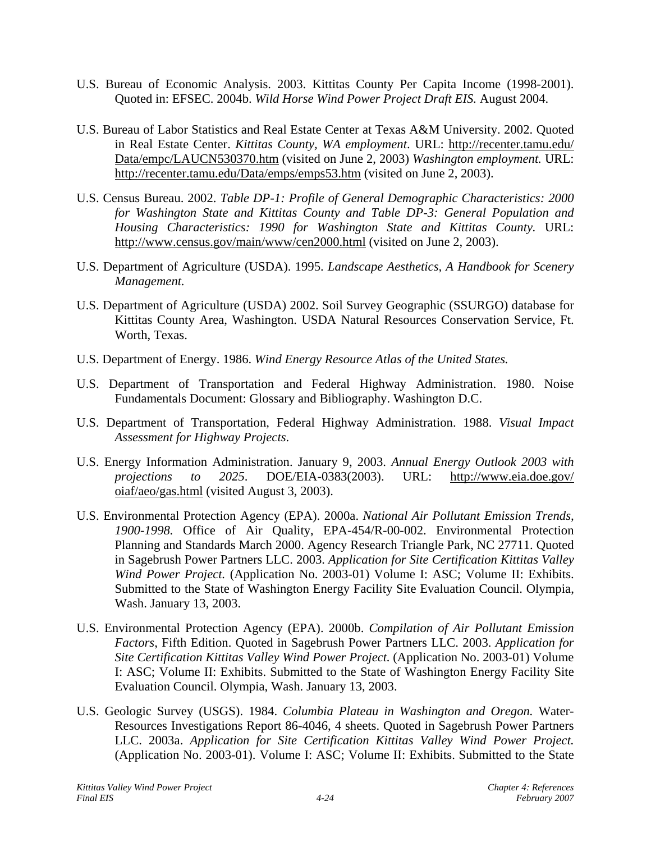- U.S. Bureau of Economic Analysis. 2003. Kittitas County Per Capita Income (1998-2001). Quoted in: EFSEC. 2004b. *Wild Horse Wind Power Project Draft EIS.* August 2004.
- U.S. Bureau of Labor Statistics and Real Estate Center at Texas A&M University. 2002. Quoted in Real Estate Center. *Kittitas County, WA employment*. URL: http://recenter.tamu.edu/ Data/empc/LAUCN530370.htm (visited on June 2, 2003) *Washington employment.* URL: http://recenter.tamu.edu/Data/emps/emps53.htm (visited on June 2, 2003).
- U.S. Census Bureau. 2002. *Table DP-1: Profile of General Demographic Characteristics: 2000 for Washington State and Kittitas County and Table DP-3: General Population and Housing Characteristics: 1990 for Washington State and Kittitas County.* URL: http://www.census.gov/main/www/cen2000.html (visited on June 2, 2003).
- U.S. Department of Agriculture (USDA). 1995. *Landscape Aesthetics, A Handbook for Scenery Management.*
- U.S. Department of Agriculture (USDA) 2002. Soil Survey Geographic (SSURGO) database for Kittitas County Area, Washington. USDA Natural Resources Conservation Service, Ft. Worth, Texas.
- U.S. Department of Energy. 1986. *Wind Energy Resource Atlas of the United States.*
- U.S. Department of Transportation and Federal Highway Administration. 1980. Noise Fundamentals Document: Glossary and Bibliography. Washington D.C.
- U.S. Department of Transportation, Federal Highway Administration. 1988. *Visual Impact Assessment for Highway Projects*.
- U.S. Energy Information Administration. January 9, 2003. *Annual Energy Outlook 2003 with projections to 2025*. DOE/EIA-0383(2003). URL: http://www.eia.doe.gov/ oiaf/aeo/gas.html (visited August 3, 2003).
- U.S. Environmental Protection Agency (EPA). 2000a. *National Air Pollutant Emission Trends, 1900-1998.* Office of Air Quality, EPA-454/R-00-002. Environmental Protection Planning and Standards March 2000. Agency Research Triangle Park, NC 27711. Quoted in Sagebrush Power Partners LLC. 2003. *Application for Site Certification Kittitas Valley Wind Power Project.* (Application No. 2003-01) Volume I: ASC; Volume II: Exhibits. Submitted to the State of Washington Energy Facility Site Evaluation Council. Olympia, Wash. January 13, 2003.
- U.S. Environmental Protection Agency (EPA). 2000b. *Compilation of Air Pollutant Emission Factors*, Fifth Edition. Quoted in Sagebrush Power Partners LLC. 2003. *Application for Site Certification Kittitas Valley Wind Power Project.* (Application No. 2003-01) Volume I: ASC; Volume II: Exhibits. Submitted to the State of Washington Energy Facility Site Evaluation Council. Olympia, Wash. January 13, 2003.
- U.S. Geologic Survey (USGS). 1984. *Columbia Plateau in Washington and Oregon.* Water-Resources Investigations Report 86-4046, 4 sheets. Quoted in Sagebrush Power Partners LLC. 2003a. *Application for Site Certification Kittitas Valley Wind Power Project.*  (Application No. 2003-01). Volume I: ASC; Volume II: Exhibits. Submitted to the State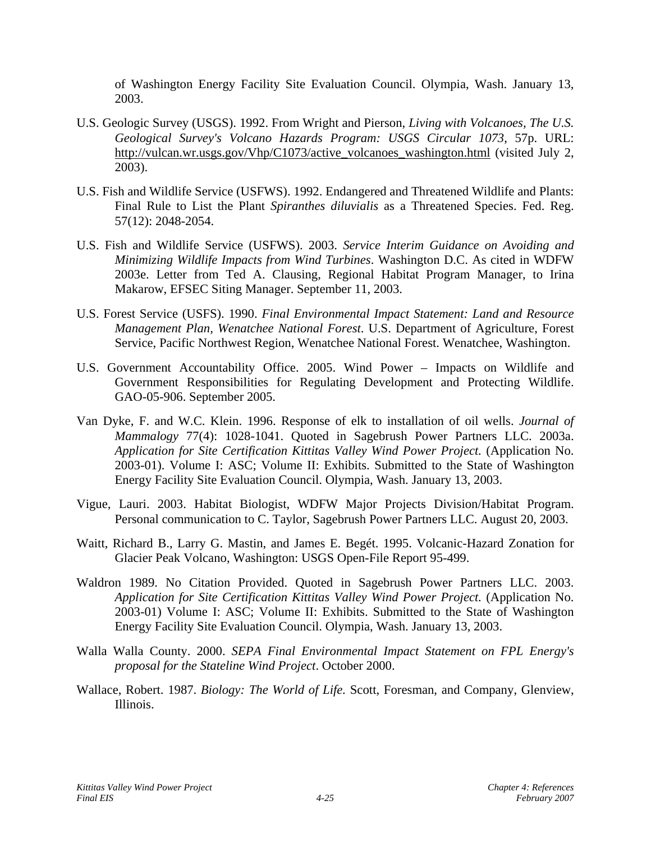of Washington Energy Facility Site Evaluation Council. Olympia, Wash. January 13, 2003.

- U.S. Geologic Survey (USGS). 1992. From Wright and Pierson, *Living with Volcanoes, The U.S. Geological Survey's Volcano Hazards Program: USGS Circular 1073*, 57p. URL: http://vulcan.wr.usgs.gov/Vhp/C1073/active\_volcanoes\_washington.html (visited July 2, 2003).
- U.S. Fish and Wildlife Service (USFWS). 1992. Endangered and Threatened Wildlife and Plants: Final Rule to List the Plant *Spiranthes diluvialis* as a Threatened Species. Fed. Reg. 57(12): 2048-2054.
- U.S. Fish and Wildlife Service (USFWS). 2003. *Service Interim Guidance on Avoiding and Minimizing Wildlife Impacts from Wind Turbines*. Washington D.C. As cited in WDFW 2003e. Letter from Ted A. Clausing, Regional Habitat Program Manager, to Irina Makarow, EFSEC Siting Manager. September 11, 2003.
- U.S. Forest Service (USFS). 1990. *Final Environmental Impact Statement: Land and Resource Management Plan, Wenatchee National Forest*. U.S. Department of Agriculture, Forest Service, Pacific Northwest Region, Wenatchee National Forest. Wenatchee, Washington.
- U.S. Government Accountability Office. 2005. Wind Power Impacts on Wildlife and Government Responsibilities for Regulating Development and Protecting Wildlife. GAO-05-906. September 2005.
- Van Dyke, F. and W.C. Klein. 1996. Response of elk to installation of oil wells. *Journal of Mammalogy* 77(4): 1028-1041. Quoted in Sagebrush Power Partners LLC. 2003a. *Application for Site Certification Kittitas Valley Wind Power Project.* (Application No. 2003-01). Volume I: ASC; Volume II: Exhibits. Submitted to the State of Washington Energy Facility Site Evaluation Council. Olympia, Wash. January 13, 2003.
- Vigue, Lauri. 2003. Habitat Biologist, WDFW Major Projects Division/Habitat Program. Personal communication to C. Taylor, Sagebrush Power Partners LLC. August 20, 2003.
- Waitt, Richard B., Larry G. Mastin, and James E. Begét. 1995. Volcanic-Hazard Zonation for Glacier Peak Volcano, Washington: USGS Open-File Report 95-499.
- Waldron 1989. No Citation Provided. Quoted in Sagebrush Power Partners LLC. 2003. *Application for Site Certification Kittitas Valley Wind Power Project.* (Application No. 2003-01) Volume I: ASC; Volume II: Exhibits. Submitted to the State of Washington Energy Facility Site Evaluation Council. Olympia, Wash. January 13, 2003.
- Walla Walla County. 2000. *SEPA Final Environmental Impact Statement on FPL Energy's proposal for the Stateline Wind Project*. October 2000.
- Wallace, Robert. 1987. *Biology: The World of Life.* Scott, Foresman, and Company, Glenview, Illinois.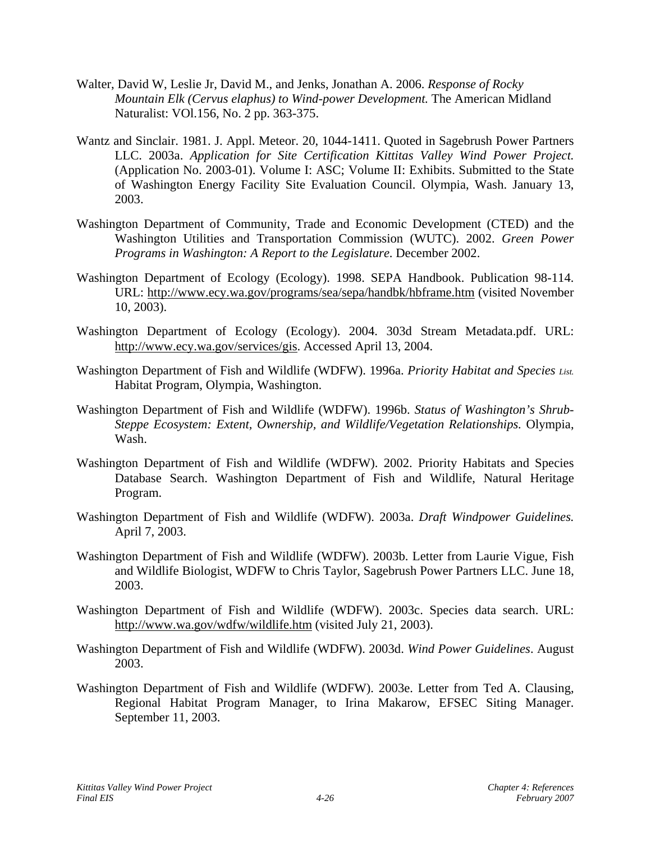- Walter, David W, Leslie Jr, David M., and Jenks, Jonathan A. 2006. *Response of Rocky Mountain Elk (Cervus elaphus) to Wind-power Development.* The American Midland Naturalist: VOl.156, No. 2 pp. 363-375.
- Wantz and Sinclair. 1981. J. Appl. Meteor. 20, 1044-1411. Quoted in Sagebrush Power Partners LLC. 2003a. *Application for Site Certification Kittitas Valley Wind Power Project.*  (Application No. 2003-01). Volume I: ASC; Volume II: Exhibits. Submitted to the State of Washington Energy Facility Site Evaluation Council. Olympia, Wash. January 13, 2003.
- Washington Department of Community, Trade and Economic Development (CTED) and the Washington Utilities and Transportation Commission (WUTC). 2002. *Green Power Programs in Washington: A Report to the Legislature*. December 2002.
- Washington Department of Ecology (Ecology). 1998. SEPA Handbook. Publication 98-114. URL: http://www.ecy.wa.gov/programs/sea/sepa/handbk/hbframe.htm (visited November 10, 2003).
- Washington Department of Ecology (Ecology). 2004. 303d Stream Metadata.pdf. URL: http://www.ecy.wa.gov/services/gis. Accessed April 13, 2004.
- Washington Department of Fish and Wildlife (WDFW). 1996a. *Priority Habitat and Species List.* Habitat Program, Olympia, Washington.
- Washington Department of Fish and Wildlife (WDFW). 1996b. *Status of Washington's Shrub-Steppe Ecosystem: Extent, Ownership, and Wildlife/Vegetation Relationships.* Olympia, Wash.
- Washington Department of Fish and Wildlife (WDFW). 2002. Priority Habitats and Species Database Search. Washington Department of Fish and Wildlife, Natural Heritage Program.
- Washington Department of Fish and Wildlife (WDFW). 2003a. *Draft Windpower Guidelines.* April 7, 2003.
- Washington Department of Fish and Wildlife (WDFW). 2003b. Letter from Laurie Vigue, Fish and Wildlife Biologist, WDFW to Chris Taylor, Sagebrush Power Partners LLC. June 18, 2003.
- Washington Department of Fish and Wildlife (WDFW). 2003c. Species data search. URL: http://www.wa.gov/wdfw/wildlife.htm (visited July 21, 2003).
- Washington Department of Fish and Wildlife (WDFW). 2003d. *Wind Power Guidelines*. August 2003.
- Washington Department of Fish and Wildlife (WDFW). 2003e. Letter from Ted A. Clausing, Regional Habitat Program Manager, to Irina Makarow, EFSEC Siting Manager. September 11, 2003.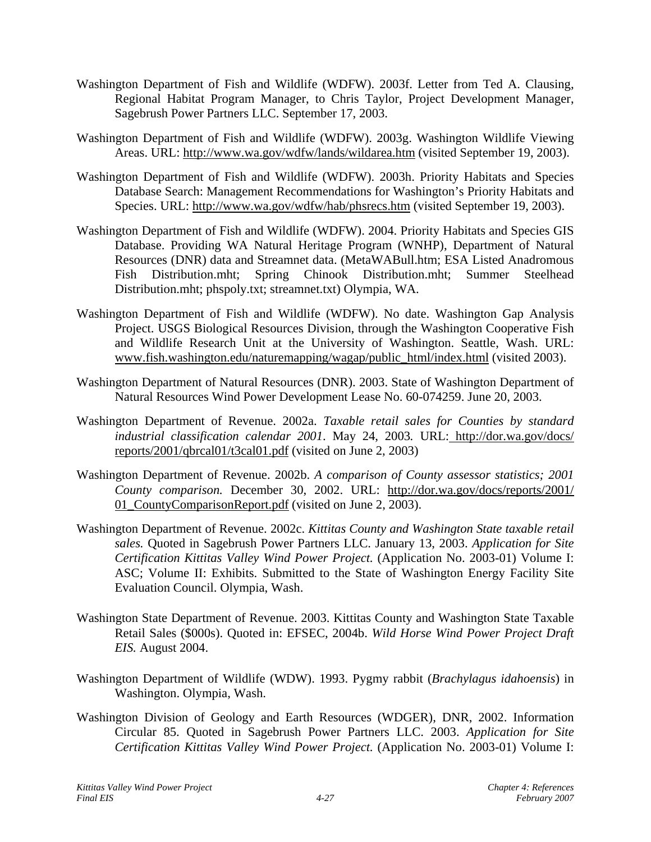- Washington Department of Fish and Wildlife (WDFW). 2003f. Letter from Ted A. Clausing, Regional Habitat Program Manager, to Chris Taylor, Project Development Manager, Sagebrush Power Partners LLC. September 17, 2003.
- Washington Department of Fish and Wildlife (WDFW). 2003g. Washington Wildlife Viewing Areas. URL:<http://www.wa.gov/wdfw/lands/wildarea.htm>(visited September 19, 2003).
- Washington Department of Fish and Wildlife (WDFW). 2003h. Priority Habitats and Species Database Search: Management Recommendations for Washington's Priority Habitats and Species. URL: http://www.wa.gov/wdfw/hab/phsrecs.htm (visited September 19, 2003).
- Washington Department of Fish and Wildlife (WDFW). 2004. Priority Habitats and Species GIS Database. Providing WA Natural Heritage Program (WNHP), Department of Natural Resources (DNR) data and Streamnet data. (MetaWABull.htm; ESA Listed Anadromous Fish Distribution.mht; Spring Chinook Distribution.mht; Summer Steelhead Distribution.mht; phspoly.txt; streamnet.txt) Olympia, WA.
- Washington Department of Fish and Wildlife (WDFW). No date. Washington Gap Analysis Project. USGS Biological Resources Division, through the Washington Cooperative Fish and Wildlife Research Unit at the University of Washington. Seattle, Wash. URL: www.fish.washington.edu/naturemapping/wagap/public\_html/index.html (visited 2003).
- Washington Department of Natural Resources (DNR). 2003. State of Washington Department of Natural Resources Wind Power Development Lease No. 60-074259. June 20, 2003.
- Washington Department of Revenue. 2002a. *Taxable retail sales for Counties by standard industrial classification calendar 2001*. May 24, 2003*.* URL: http://dor.wa.gov/docs/ reports/2001/qbrcal01/t3cal01.pdf (visited on June 2, 2003)
- Washington Department of Revenue. 2002b. *A comparison of County assessor statistics; 2001 County comparison.* December 30, 2002. URL: http://dor.wa.gov/docs/reports/2001/ 01 CountyComparisonReport.pdf (visited on June 2, 2003).
- Washington Department of Revenue. 2002c. *Kittitas County and Washington State taxable retail sales.* Quoted in Sagebrush Power Partners LLC. January 13, 2003. *Application for Site Certification Kittitas Valley Wind Power Project.* (Application No. 2003-01) Volume I: ASC; Volume II: Exhibits. Submitted to the State of Washington Energy Facility Site Evaluation Council. Olympia, Wash.
- Washington State Department of Revenue. 2003. Kittitas County and Washington State Taxable Retail Sales (\$000s). Quoted in: EFSEC, 2004b. *Wild Horse Wind Power Project Draft EIS.* August 2004.
- Washington Department of Wildlife (WDW). 1993. Pygmy rabbit (*Brachylagus idahoensis*) in Washington. Olympia, Wash.
- Washington Division of Geology and Earth Resources (WDGER), DNR, 2002. Information Circular 85. Quoted in Sagebrush Power Partners LLC. 2003. *Application for Site Certification Kittitas Valley Wind Power Project.* (Application No. 2003-01) Volume I: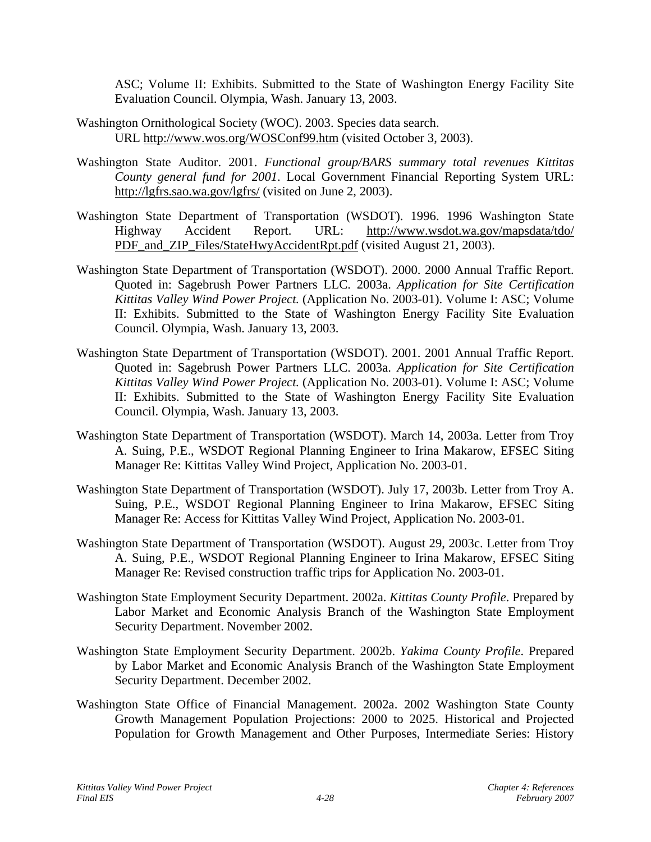ASC; Volume II: Exhibits. Submitted to the State of Washington Energy Facility Site Evaluation Council. Olympia, Wash. January 13, 2003.

- Washington Ornithological Society (WOC). 2003. Species data search. URL <http://www.wos.org/>WOSConf99.htm (visited October 3, 2003).
- Washington State Auditor. 2001. *Functional group/BARS summary total revenues Kittitas County general fund for 2001*. Local Government Financial Reporting System URL: http://lgfrs.sao.wa.gov/lgfrs/ (visited on June 2, 2003).
- Washington State Department of Transportation (WSDOT). 1996. 1996 Washington State Highway Accident Report. URL: http://www.wsdot.wa.gov/mapsdata/tdo/ PDF\_and\_ZIP\_Files/StateHwyAccidentRpt.pdf (visited August 21, 2003).
- Washington State Department of Transportation (WSDOT). 2000. 2000 Annual Traffic Report. Quoted in: Sagebrush Power Partners LLC. 2003a. *Application for Site Certification Kittitas Valley Wind Power Project.* (Application No. 2003-01). Volume I: ASC; Volume II: Exhibits. Submitted to the State of Washington Energy Facility Site Evaluation Council. Olympia, Wash. January 13, 2003.
- Washington State Department of Transportation (WSDOT). 2001. 2001 Annual Traffic Report. Quoted in: Sagebrush Power Partners LLC. 2003a. *Application for Site Certification Kittitas Valley Wind Power Project.* (Application No. 2003-01). Volume I: ASC; Volume II: Exhibits. Submitted to the State of Washington Energy Facility Site Evaluation Council. Olympia, Wash. January 13, 2003.
- Washington State Department of Transportation (WSDOT). March 14, 2003a. Letter from Troy A. Suing, P.E., WSDOT Regional Planning Engineer to Irina Makarow, EFSEC Siting Manager Re: Kittitas Valley Wind Project, Application No. 2003-01.
- Washington State Department of Transportation (WSDOT). July 17, 2003b. Letter from Troy A. Suing, P.E., WSDOT Regional Planning Engineer to Irina Makarow, EFSEC Siting Manager Re: Access for Kittitas Valley Wind Project, Application No. 2003-01.
- Washington State Department of Transportation (WSDOT). August 29, 2003c. Letter from Troy A. Suing, P.E., WSDOT Regional Planning Engineer to Irina Makarow, EFSEC Siting Manager Re: Revised construction traffic trips for Application No. 2003-01.
- Washington State Employment Security Department. 2002a. *Kittitas County Profile*. Prepared by Labor Market and Economic Analysis Branch of the Washington State Employment Security Department. November 2002.
- Washington State Employment Security Department. 2002b. *Yakima County Profile*. Prepared by Labor Market and Economic Analysis Branch of the Washington State Employment Security Department. December 2002.
- Washington State Office of Financial Management. 2002a. 2002 Washington State County Growth Management Population Projections: 2000 to 2025. Historical and Projected Population for Growth Management and Other Purposes, Intermediate Series: History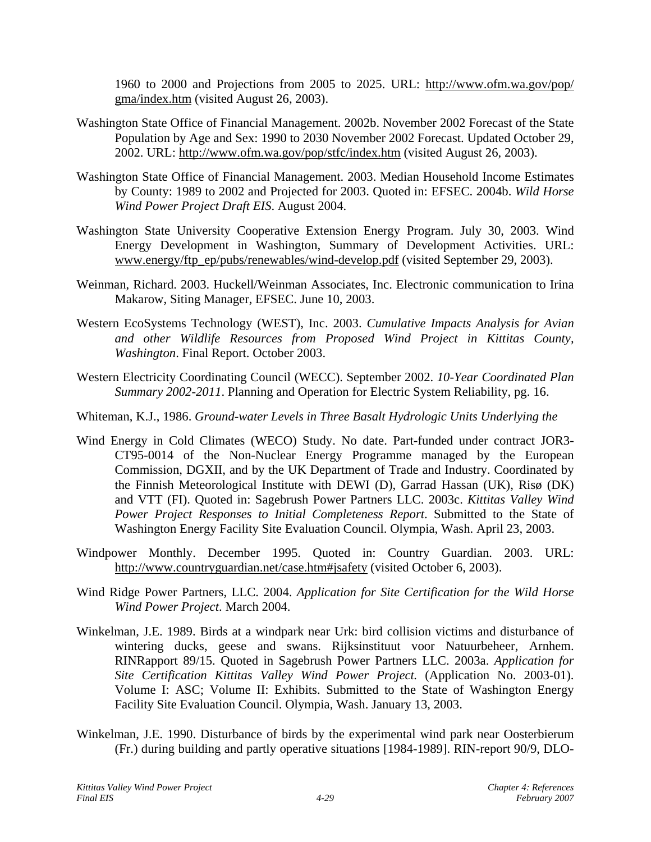1960 to 2000 and Projections from 2005 to 2025. URL: http://www.ofm.wa.gov/pop/ gma/index.htm (visited August 26, 2003).

- Washington State Office of Financial Management. 2002b. November 2002 Forecast of the State Population by Age and Sex: 1990 to 2030 November 2002 Forecast. Updated October 29, 2002. URL:<http://www.ofm.wa.gov/pop/stfc/index.htm>(visited August 26, 2003).
- Washington State Office of Financial Management. 2003. Median Household Income Estimates by County: 1989 to 2002 and Projected for 2003. Quoted in: EFSEC. 2004b. *Wild Horse Wind Power Project Draft EIS*. August 2004.
- Washington State University Cooperative Extension Energy Program. July 30, 2003. Wind Energy Development in Washington, Summary of Development Activities. URL: [www.energy/ftp\\_ep/pubs/renewables/wind-develop.pdf](http://www.energy/ftp_ep/pubs/renewables/wind-develop.pdf) (visited September 29, 2003).
- Weinman, Richard. 2003. Huckell/Weinman Associates, Inc. Electronic communication to Irina Makarow, Siting Manager, EFSEC. June 10, 2003.
- Western EcoSystems Technology (WEST), Inc. 2003. *Cumulative Impacts Analysis for Avian and other Wildlife Resources from Proposed Wind Project in Kittitas County, Washington*. Final Report. October 2003.
- Western Electricity Coordinating Council (WECC). September 2002. *10-Year Coordinated Plan Summary 2002-2011*. Planning and Operation for Electric System Reliability, pg. 16.
- Whiteman, K.J., 1986. *Ground-water Levels in Three Basalt Hydrologic Units Underlying the*
- Wind Energy in Cold Climates (WECO) Study. No date. Part-funded under contract JOR3- CT95-0014 of the Non-Nuclear Energy Programme managed by the European Commission, DGXII, and by the UK Department of Trade and Industry. Coordinated by the Finnish Meteorological Institute with DEWI (D), Garrad Hassan (UK), Risø (DK) and VTT (FI). Quoted in: Sagebrush Power Partners LLC. 2003c. *Kittitas Valley Wind Power Project Responses to Initial Completeness Report*. Submitted to the State of Washington Energy Facility Site Evaluation Council. Olympia, Wash. April 23, 2003.
- Windpower Monthly. December 1995. Quoted in: Country Guardian. 2003. URL: <http://www.countryguardian.net/case.htm#jsafety>(visited October 6, 2003).
- Wind Ridge Power Partners, LLC. 2004. *Application for Site Certification for the Wild Horse Wind Power Project*. March 2004.
- Winkelman, J.E. 1989. Birds at a windpark near Urk: bird collision victims and disturbance of wintering ducks, geese and swans. Rijksinstituut voor Natuurbeheer, Arnhem. RINRapport 89/15. Quoted in Sagebrush Power Partners LLC. 2003a. *Application for Site Certification Kittitas Valley Wind Power Project.* (Application No. 2003-01). Volume I: ASC; Volume II: Exhibits. Submitted to the State of Washington Energy Facility Site Evaluation Council. Olympia, Wash. January 13, 2003.
- Winkelman, J.E. 1990. Disturbance of birds by the experimental wind park near Oosterbierum (Fr.) during building and partly operative situations [1984-1989]. RIN-report 90/9, DLO-